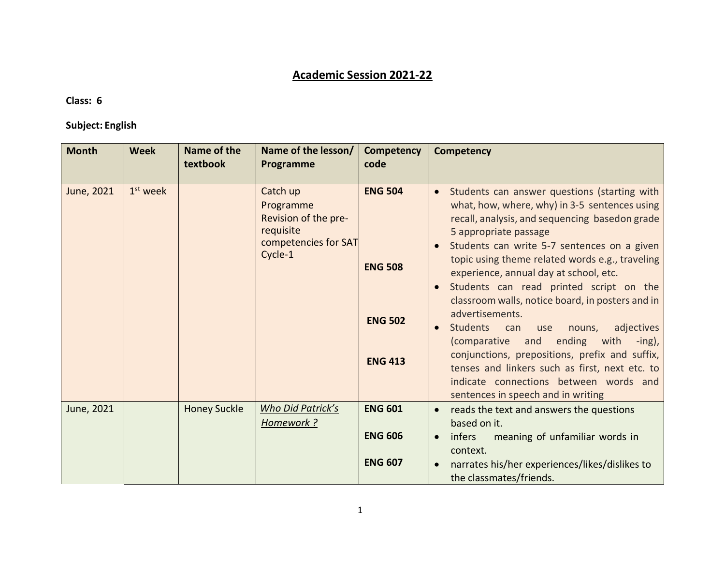# **Academic Session 2021-22**

### **Class: 6**

## **Subject: English**

| <b>Month</b> | <b>Week</b> | Name of the<br>textbook | Name of the lesson/<br>Programme                                                              | Competency<br>code                                                   | <b>Competency</b>                                                                                                                                                                                                                                                                                                                                                                                                                                                                                                                                                                                                                                                                                                                                          |
|--------------|-------------|-------------------------|-----------------------------------------------------------------------------------------------|----------------------------------------------------------------------|------------------------------------------------------------------------------------------------------------------------------------------------------------------------------------------------------------------------------------------------------------------------------------------------------------------------------------------------------------------------------------------------------------------------------------------------------------------------------------------------------------------------------------------------------------------------------------------------------------------------------------------------------------------------------------------------------------------------------------------------------------|
| June, 2021   | $1st$ week  |                         | Catch up<br>Programme<br>Revision of the pre-<br>requisite<br>competencies for SAT<br>Cycle-1 | <b>ENG 504</b><br><b>ENG 508</b><br><b>ENG 502</b><br><b>ENG 413</b> | Students can answer questions (starting with<br>$\bullet$<br>what, how, where, why) in 3-5 sentences using<br>recall, analysis, and sequencing basedon grade<br>5 appropriate passage<br>Students can write 5-7 sentences on a given<br>topic using theme related words e.g., traveling<br>experience, annual day at school, etc.<br>Students can read printed script on the<br>classroom walls, notice board, in posters and in<br>advertisements.<br><b>Students</b><br>adjectives<br>nouns,<br>can<br>use<br>$\bullet$<br>(comparative and ending with<br>$-$ ing),<br>conjunctions, prepositions, prefix and suffix,<br>tenses and linkers such as first, next etc. to<br>indicate connections between words and<br>sentences in speech and in writing |
| June, 2021   |             | <b>Honey Suckle</b>     | Who Did Patrick's<br>Homework?                                                                | <b>ENG 601</b><br><b>ENG 606</b><br><b>ENG 607</b>                   | reads the text and answers the questions<br>$\bullet$<br>based on it.<br>meaning of unfamiliar words in<br>infers<br>$\bullet$<br>context.<br>narrates his/her experiences/likes/dislikes to<br>the classmates/friends.                                                                                                                                                                                                                                                                                                                                                                                                                                                                                                                                    |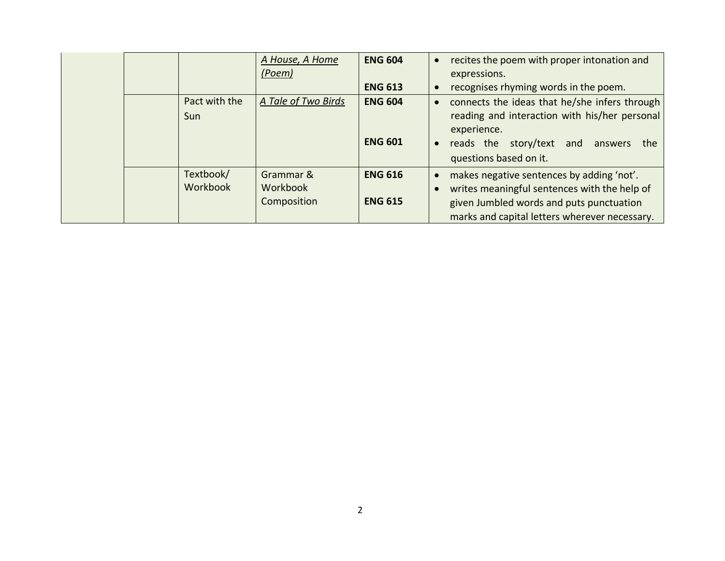|  |                              | A House, A Home<br>(Poem)            | <b>ENG 604</b>                   | $\bullet$              | recites the poem with proper intonation and<br>expressions.                                                                                                                            |
|--|------------------------------|--------------------------------------|----------------------------------|------------------------|----------------------------------------------------------------------------------------------------------------------------------------------------------------------------------------|
|  |                              |                                      | <b>ENG 613</b>                   | $\bullet$              | recognises rhyming words in the poem.                                                                                                                                                  |
|  | Pact with the<br>Sun         | A Tale of Two Birds                  | <b>ENG 604</b><br><b>ENG 601</b> | $\bullet$<br>$\bullet$ | connects the ideas that he/she infers through<br>reading and interaction with his/her personal<br>experience.<br>story/text and answers<br>reads the<br>the<br>questions based on it.  |
|  | Textbook/<br><b>Workbook</b> | Grammar &<br>Workbook<br>Composition | <b>ENG 616</b><br><b>ENG 615</b> | $\bullet$<br>$\bullet$ | makes negative sentences by adding 'not'.<br>writes meaningful sentences with the help of<br>given Jumbled words and puts punctuation<br>marks and capital letters wherever necessary. |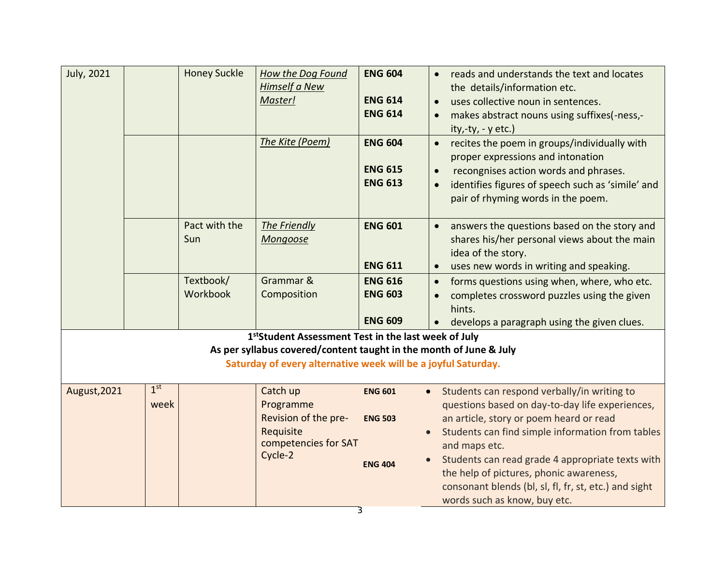| July, 2021   |                         | <b>Honey Suckle</b>   | <b>How the Dog Found</b><br><b>Himself a New</b><br>Master!<br>The Kite (Poem)                                                                                                                          | <b>ENG 604</b><br><b>ENG 614</b><br><b>ENG 614</b><br><b>ENG 604</b> | reads and understands the text and locates<br>$\bullet$<br>the details/information etc.<br>uses collective noun in sentences.<br>$\bullet$<br>makes abstract nouns using suffixes(-ness,-<br>$\bullet$<br>$ity, -ty, -y$ etc.)<br>recites the poem in groups/individually with<br>$\bullet$                                                                                                                         |
|--------------|-------------------------|-----------------------|---------------------------------------------------------------------------------------------------------------------------------------------------------------------------------------------------------|----------------------------------------------------------------------|---------------------------------------------------------------------------------------------------------------------------------------------------------------------------------------------------------------------------------------------------------------------------------------------------------------------------------------------------------------------------------------------------------------------|
|              |                         |                       |                                                                                                                                                                                                         | <b>ENG 615</b><br><b>ENG 613</b>                                     | proper expressions and intonation<br>recongnises action words and phrases.<br>$\bullet$<br>identifies figures of speech such as 'simile' and<br>$\bullet$<br>pair of rhyming words in the poem.                                                                                                                                                                                                                     |
|              |                         | Pact with the<br>Sun  | The Friendly<br>Mongoose                                                                                                                                                                                | <b>ENG 601</b><br><b>ENG 611</b>                                     | answers the questions based on the story and<br>$\bullet$<br>shares his/her personal views about the main<br>idea of the story.<br>uses new words in writing and speaking.<br>$\bullet$                                                                                                                                                                                                                             |
|              |                         | Textbook/<br>Workbook | Grammar &<br>Composition                                                                                                                                                                                | <b>ENG 616</b><br><b>ENG 603</b><br><b>ENG 609</b>                   | forms questions using when, where, who etc.<br>$\bullet$<br>completes crossword puzzles using the given<br>$\bullet$<br>hints.<br>develops a paragraph using the given clues.<br>$\bullet$                                                                                                                                                                                                                          |
|              |                         |                       | 1 <sup>st</sup> Student Assessment Test in the last week of July<br>As per syllabus covered/content taught in the month of June & July<br>Saturday of every alternative week will be a joyful Saturday. |                                                                      |                                                                                                                                                                                                                                                                                                                                                                                                                     |
| August, 2021 | 1 <sup>st</sup><br>week |                       | Catch up<br>Programme<br>Revision of the pre-<br>Requisite<br>competencies for SAT<br>Cycle-2                                                                                                           | <b>ENG 601</b><br><b>ENG 503</b><br><b>ENG 404</b>                   | Students can respond verbally/in writing to<br>$\bullet$<br>questions based on day-to-day life experiences,<br>an article, story or poem heard or read<br>Students can find simple information from tables<br>and maps etc.<br>Students can read grade 4 appropriate texts with<br>the help of pictures, phonic awareness,<br>consonant blends (bl, sl, fl, fr, st, etc.) and sight<br>words such as know, buy etc. |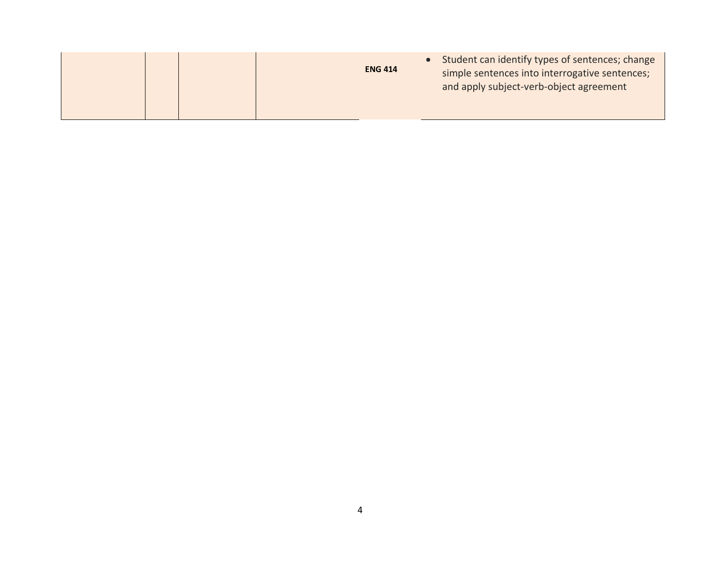|  | <b>ENG 414</b> | Student can identify types of sentences; change<br>simple sentences into interrogative sentences;<br>and apply subject-verb-object agreement |
|--|----------------|----------------------------------------------------------------------------------------------------------------------------------------------|
|--|----------------|----------------------------------------------------------------------------------------------------------------------------------------------|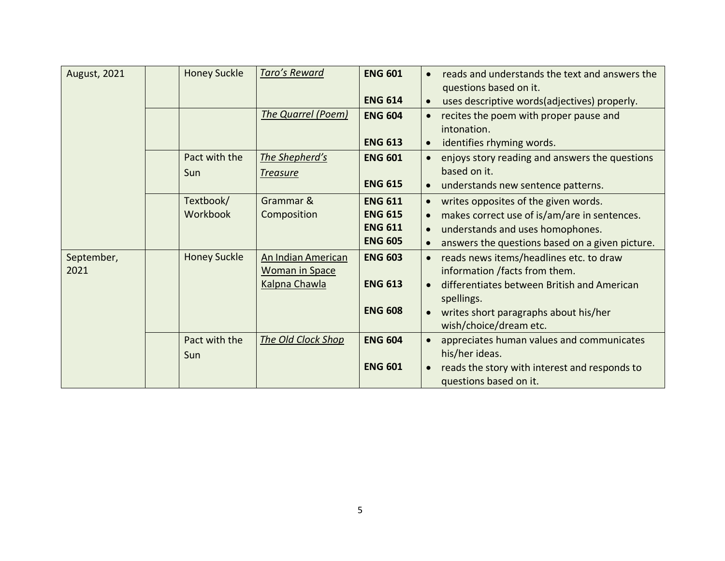| <b>August, 2021</b> | <b>Honey Suckle</b> | Taro's Reward      | <b>ENG 601</b> |           | reads and understands the text and answers the      |
|---------------------|---------------------|--------------------|----------------|-----------|-----------------------------------------------------|
|                     |                     |                    |                |           | questions based on it.                              |
|                     |                     |                    | <b>ENG 614</b> | $\bullet$ | uses descriptive words(adjectives) properly.        |
|                     |                     | The Quarrel (Poem) | <b>ENG 604</b> |           | recites the poem with proper pause and              |
|                     |                     |                    |                |           | intonation.                                         |
|                     |                     |                    | <b>ENG 613</b> | $\bullet$ | identifies rhyming words.                           |
|                     | Pact with the       | The Shepherd's     | <b>ENG 601</b> | $\bullet$ | enjoys story reading and answers the questions      |
|                     | Sun                 | <b>Treasure</b>    |                |           | based on it.                                        |
|                     |                     |                    | <b>ENG 615</b> | $\bullet$ | understands new sentence patterns.                  |
|                     | Textbook/           | Grammar &          | <b>ENG 611</b> |           | writes opposites of the given words.                |
|                     | Workbook            | Composition        | <b>ENG 615</b> |           | makes correct use of is/am/are in sentences.        |
|                     |                     |                    | <b>ENG 611</b> |           | understands and uses homophones.                    |
|                     |                     |                    | <b>ENG 605</b> |           | answers the questions based on a given picture.     |
| September,          | <b>Honey Suckle</b> | An Indian American | <b>ENG 603</b> |           | reads news items/headlines etc. to draw             |
| 2021                |                     | Woman in Space     |                |           | information /facts from them.                       |
|                     |                     | Kalpna Chawla      | <b>ENG 613</b> |           | differentiates between British and American         |
|                     |                     |                    | <b>ENG 608</b> | $\bullet$ | spellings.<br>writes short paragraphs about his/her |
|                     |                     |                    |                |           | wish/choice/dream etc.                              |
|                     | Pact with the       | The Old Clock Shop | <b>ENG 604</b> |           | appreciates human values and communicates           |
|                     | Sun                 |                    |                |           | his/her ideas.                                      |
|                     |                     |                    | <b>ENG 601</b> |           | reads the story with interest and responds to       |
|                     |                     |                    |                |           | questions based on it.                              |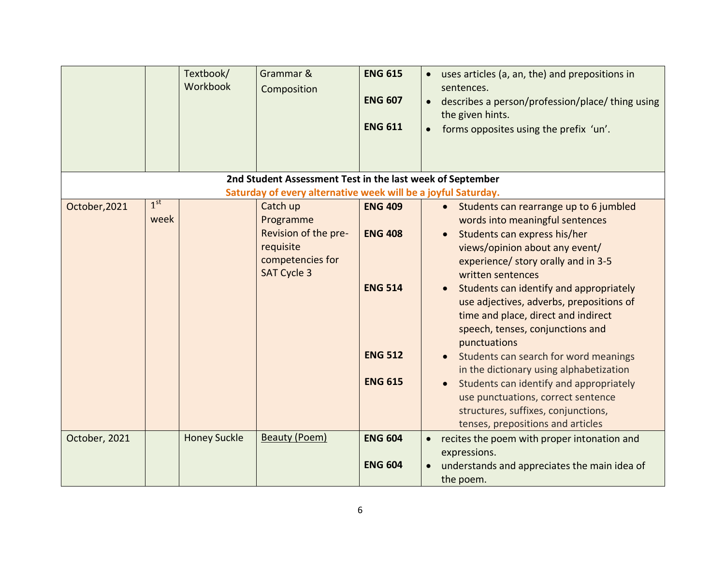|               |                         | Textbook/<br>Workbook | Grammar &<br>Composition<br>2nd Student Assessment Test in the last week of September                | <b>ENG 615</b><br><b>ENG 607</b><br><b>ENG 611</b>                                     | uses articles (a, an, the) and prepositions in<br>sentences.<br>describes a person/profession/place/thing using<br>the given hints.<br>forms opposites using the prefix 'un'.                                                                                                                                                                                                                                                                                                                                                                                                                                                                |
|---------------|-------------------------|-----------------------|------------------------------------------------------------------------------------------------------|----------------------------------------------------------------------------------------|----------------------------------------------------------------------------------------------------------------------------------------------------------------------------------------------------------------------------------------------------------------------------------------------------------------------------------------------------------------------------------------------------------------------------------------------------------------------------------------------------------------------------------------------------------------------------------------------------------------------------------------------|
|               |                         |                       | Saturday of every alternative week will be a joyful Saturday.                                        |                                                                                        |                                                                                                                                                                                                                                                                                                                                                                                                                                                                                                                                                                                                                                              |
| October, 2021 | 1 <sup>st</sup><br>week |                       | Catch up<br>Programme<br>Revision of the pre-<br>requisite<br>competencies for<br><b>SAT Cycle 3</b> | <b>ENG 409</b><br><b>ENG 408</b><br><b>ENG 514</b><br><b>ENG 512</b><br><b>ENG 615</b> | • Students can rearrange up to 6 jumbled<br>words into meaningful sentences<br>Students can express his/her<br>views/opinion about any event/<br>experience/ story orally and in 3-5<br>written sentences<br>Students can identify and appropriately<br>use adjectives, adverbs, prepositions of<br>time and place, direct and indirect<br>speech, tenses, conjunctions and<br>punctuations<br>Students can search for word meanings<br>in the dictionary using alphabetization<br>Students can identify and appropriately<br>use punctuations, correct sentence<br>structures, suffixes, conjunctions,<br>tenses, prepositions and articles |
| October, 2021 |                         | <b>Honey Suckle</b>   | Beauty (Poem)                                                                                        | <b>ENG 604</b><br><b>ENG 604</b>                                                       | recites the poem with proper intonation and<br>$\bullet$<br>expressions.<br>understands and appreciates the main idea of<br>the poem.                                                                                                                                                                                                                                                                                                                                                                                                                                                                                                        |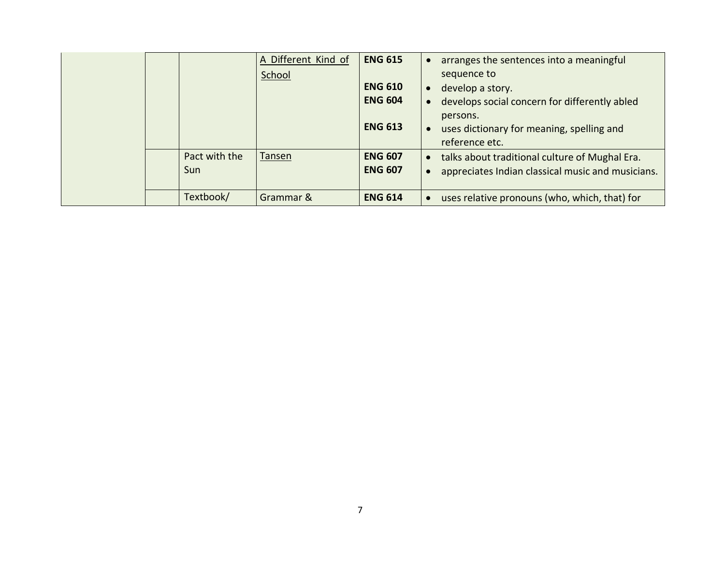|  |               | A Different Kind of | <b>ENG 615</b> |           | arranges the sentences into a meaningful          |
|--|---------------|---------------------|----------------|-----------|---------------------------------------------------|
|  |               | School              |                |           | sequence to                                       |
|  |               |                     | <b>ENG 610</b> | $\bullet$ | develop a story.                                  |
|  |               |                     | <b>ENG 604</b> |           | develops social concern for differently abled     |
|  |               |                     |                |           | persons.                                          |
|  |               |                     | <b>ENG 613</b> |           | uses dictionary for meaning, spelling and         |
|  |               |                     |                |           | reference etc.                                    |
|  | Pact with the | Tansen              | <b>ENG 607</b> | $\bullet$ | talks about traditional culture of Mughal Era.    |
|  | Sun           |                     | <b>ENG 607</b> |           | appreciates Indian classical music and musicians. |
|  |               |                     |                |           |                                                   |
|  | Textbook/     | Grammar &           | <b>ENG 614</b> |           | uses relative pronouns (who, which, that) for     |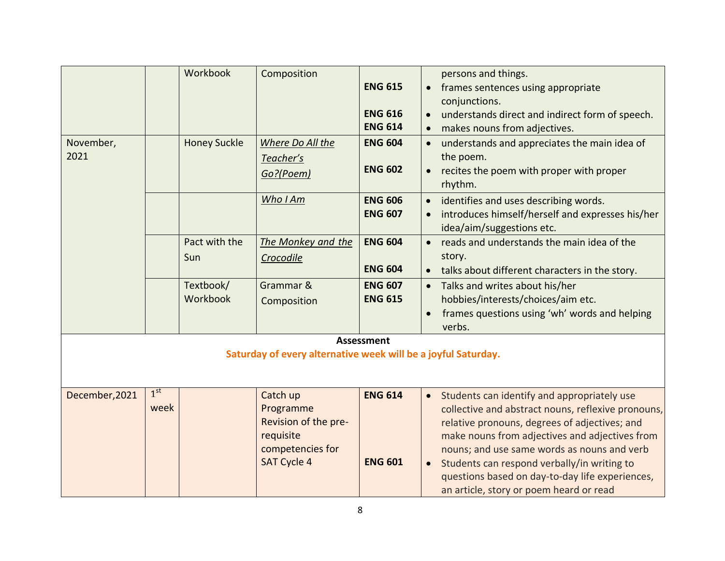|                   |                         | Workbook              | Composition                                                                                          | <b>ENG 615</b><br><b>ENG 616</b><br><b>ENG 614</b> | persons and things.<br>frames sentences using appropriate<br>conjunctions.<br>understands direct and indirect form of speech.<br>makes nouns from adjectives.                                                                                                                                                                                                                                                 |
|-------------------|-------------------------|-----------------------|------------------------------------------------------------------------------------------------------|----------------------------------------------------|---------------------------------------------------------------------------------------------------------------------------------------------------------------------------------------------------------------------------------------------------------------------------------------------------------------------------------------------------------------------------------------------------------------|
| November,<br>2021 |                         | <b>Honey Suckle</b>   | Where Do All the<br>Teacher's<br>Go?(Poem)                                                           | <b>ENG 604</b><br><b>ENG 602</b>                   | understands and appreciates the main idea of<br>the poem.<br>recites the poem with proper with proper<br>$\bullet$<br>rhythm.                                                                                                                                                                                                                                                                                 |
|                   |                         |                       | Who I Am                                                                                             | <b>ENG 606</b><br><b>ENG 607</b>                   | identifies and uses describing words.<br>introduces himself/herself and expresses his/her<br>idea/aim/suggestions etc.                                                                                                                                                                                                                                                                                        |
|                   |                         | Pact with the<br>Sun  | The Monkey and the<br>Crocodile                                                                      | <b>ENG 604</b><br><b>ENG 604</b>                   | reads and understands the main idea of the<br>story.<br>talks about different characters in the story.<br>$\bullet$                                                                                                                                                                                                                                                                                           |
|                   |                         | Textbook/<br>Workbook | Grammar &<br>Composition                                                                             | <b>ENG 607</b><br><b>ENG 615</b>                   | Talks and writes about his/her<br>$\bullet$<br>hobbies/interests/choices/aim etc.<br>frames questions using 'wh' words and helping<br>verbs.                                                                                                                                                                                                                                                                  |
|                   |                         |                       | Saturday of every alternative week will be a joyful Saturday.                                        | <b>Assessment</b>                                  |                                                                                                                                                                                                                                                                                                                                                                                                               |
| December, 2021    | 1 <sup>st</sup><br>week |                       | Catch up<br>Programme<br>Revision of the pre-<br>requisite<br>competencies for<br><b>SAT Cycle 4</b> | <b>ENG 614</b><br><b>ENG 601</b>                   | Students can identify and appropriately use<br>$\bullet$<br>collective and abstract nouns, reflexive pronouns,<br>relative pronouns, degrees of adjectives; and<br>make nouns from adjectives and adjectives from<br>nouns; and use same words as nouns and verb<br>Students can respond verbally/in writing to<br>questions based on day-to-day life experiences,<br>an article, story or poem heard or read |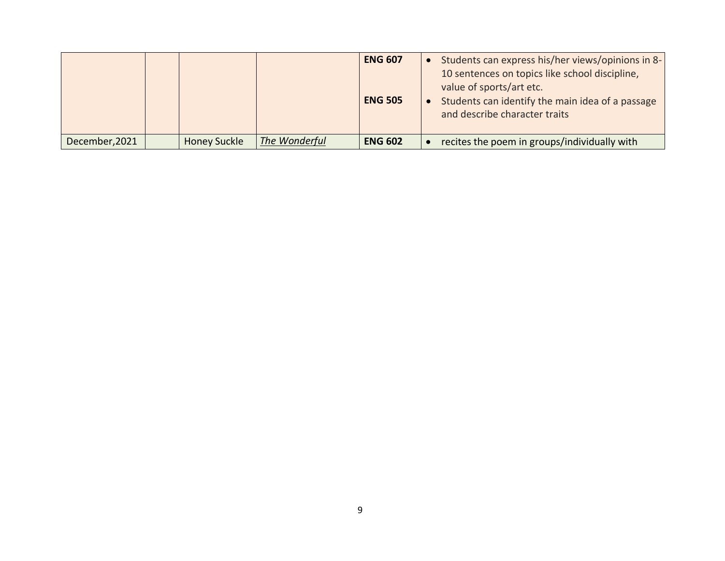|                |                     |               | <b>ENG 607</b><br><b>ENG 505</b> | Students can express his/her views/opinions in 8-<br>10 sentences on topics like school discipline,<br>value of sports/art etc.<br>Students can identify the main idea of a passage<br>and describe character traits |
|----------------|---------------------|---------------|----------------------------------|----------------------------------------------------------------------------------------------------------------------------------------------------------------------------------------------------------------------|
| December, 2021 | <b>Honey Suckle</b> | The Wonderful | <b>ENG 602</b>                   | recites the poem in groups/individually with                                                                                                                                                                         |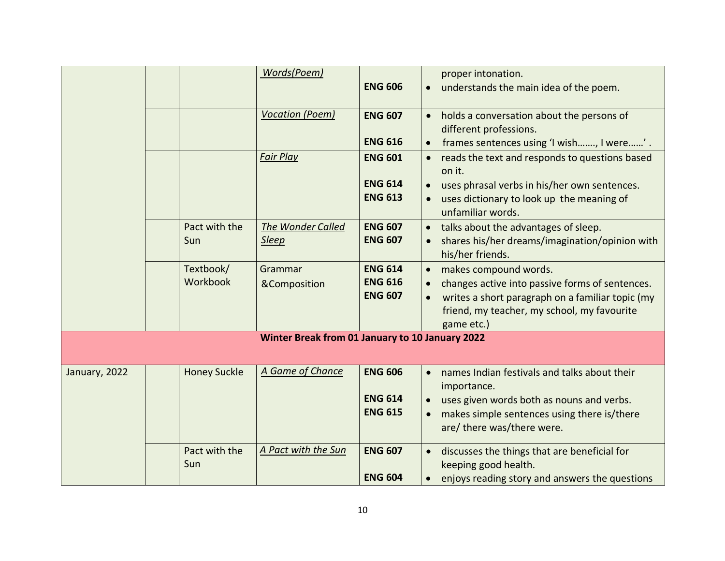|               |                       | Words(Poem)                                     | <b>ENG 606</b>                                     | proper intonation.<br>understands the main idea of the poem.                                                                                                                                                        |
|---------------|-----------------------|-------------------------------------------------|----------------------------------------------------|---------------------------------------------------------------------------------------------------------------------------------------------------------------------------------------------------------------------|
|               |                       | <b>Vocation (Poem)</b>                          | <b>ENG 607</b><br><b>ENG 616</b>                   | holds a conversation about the persons of<br>different professions.<br>frames sentences using 'I wish, I were'.                                                                                                     |
|               |                       | <b>Fair Play</b>                                | <b>ENG 601</b><br><b>ENG 614</b><br><b>ENG 613</b> | reads the text and responds to questions based<br>on it.<br>uses phrasal verbs in his/her own sentences.<br>uses dictionary to look up the meaning of<br>unfamiliar words.                                          |
|               | Pact with the<br>Sun  | <b>The Wonder Called</b><br><b>Sleep</b>        | <b>ENG 607</b><br><b>ENG 607</b>                   | talks about the advantages of sleep.<br>shares his/her dreams/imagination/opinion with<br>his/her friends.                                                                                                          |
|               | Textbook/<br>Workbook | Grammar<br>&Composition                         | <b>ENG 614</b><br><b>ENG 616</b><br><b>ENG 607</b> | makes compound words.<br>$\bullet$<br>changes active into passive forms of sentences.<br>writes a short paragraph on a familiar topic (my<br>$\bullet$<br>friend, my teacher, my school, my favourite<br>game etc.) |
|               |                       | Winter Break from 01 January to 10 January 2022 |                                                    |                                                                                                                                                                                                                     |
| January, 2022 | <b>Honey Suckle</b>   | A Game of Chance                                | <b>ENG 606</b><br><b>ENG 614</b><br><b>ENG 615</b> | names Indian festivals and talks about their<br>importance.<br>uses given words both as nouns and verbs.<br>makes simple sentences using there is/there<br>are/ there was/there were.                               |
|               | Pact with the<br>Sun  | A Pact with the Sun                             | <b>ENG 607</b><br><b>ENG 604</b>                   | discusses the things that are beneficial for<br>keeping good health.<br>enjoys reading story and answers the questions                                                                                              |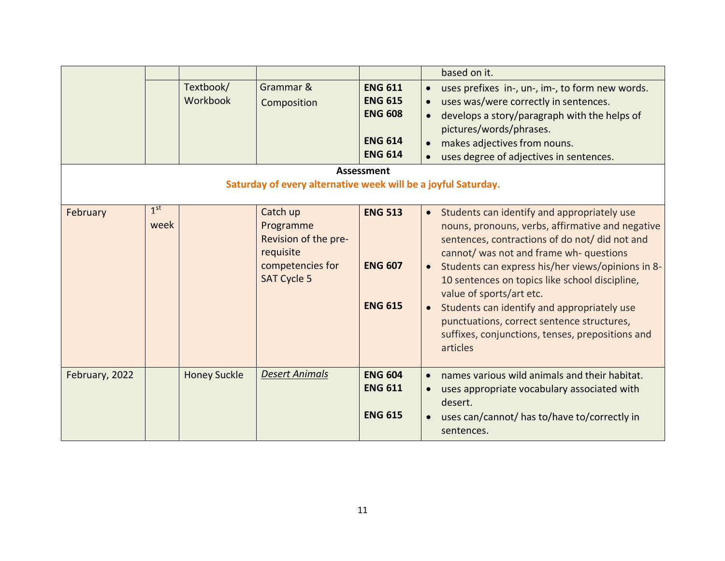|                |                         |                       |                                                                                                      |                                                                                        | based on it.                                                                                                                                                                                                                                                                                                                                                                                                                                                                                                                        |
|----------------|-------------------------|-----------------------|------------------------------------------------------------------------------------------------------|----------------------------------------------------------------------------------------|-------------------------------------------------------------------------------------------------------------------------------------------------------------------------------------------------------------------------------------------------------------------------------------------------------------------------------------------------------------------------------------------------------------------------------------------------------------------------------------------------------------------------------------|
|                |                         | Textbook/<br>Workbook | Grammar &<br>Composition                                                                             | <b>ENG 611</b><br><b>ENG 615</b><br><b>ENG 608</b><br><b>ENG 614</b><br><b>ENG 614</b> | uses prefixes in-, un-, im-, to form new words.<br>$\bullet$<br>uses was/were correctly in sentences.<br>develops a story/paragraph with the helps of<br>pictures/words/phrases.<br>makes adjectives from nouns.<br>uses degree of adjectives in sentences.                                                                                                                                                                                                                                                                         |
|                |                         |                       |                                                                                                      | <b>Assessment</b>                                                                      |                                                                                                                                                                                                                                                                                                                                                                                                                                                                                                                                     |
|                |                         |                       | Saturday of every alternative week will be a joyful Saturday.                                        |                                                                                        |                                                                                                                                                                                                                                                                                                                                                                                                                                                                                                                                     |
| February       | 1 <sup>st</sup><br>week |                       | Catch up<br>Programme<br>Revision of the pre-<br>requisite<br>competencies for<br><b>SAT Cycle 5</b> | <b>ENG 513</b><br><b>ENG 607</b><br><b>ENG 615</b>                                     | Students can identify and appropriately use<br>$\bullet$<br>nouns, pronouns, verbs, affirmative and negative<br>sentences, contractions of do not/ did not and<br>cannot/ was not and frame wh- questions<br>Students can express his/her views/opinions in 8-<br>$\bullet$<br>10 sentences on topics like school discipline,<br>value of sports/art etc.<br>Students can identify and appropriately use<br>$\bullet$<br>punctuations, correct sentence structures,<br>suffixes, conjunctions, tenses, prepositions and<br>articles |
| February, 2022 |                         | <b>Honey Suckle</b>   | <b>Desert Animals</b>                                                                                | <b>ENG 604</b><br><b>ENG 611</b><br><b>ENG 615</b>                                     | names various wild animals and their habitat.<br>uses appropriate vocabulary associated with<br>desert.<br>uses can/cannot/ has to/have to/correctly in<br>sentences.                                                                                                                                                                                                                                                                                                                                                               |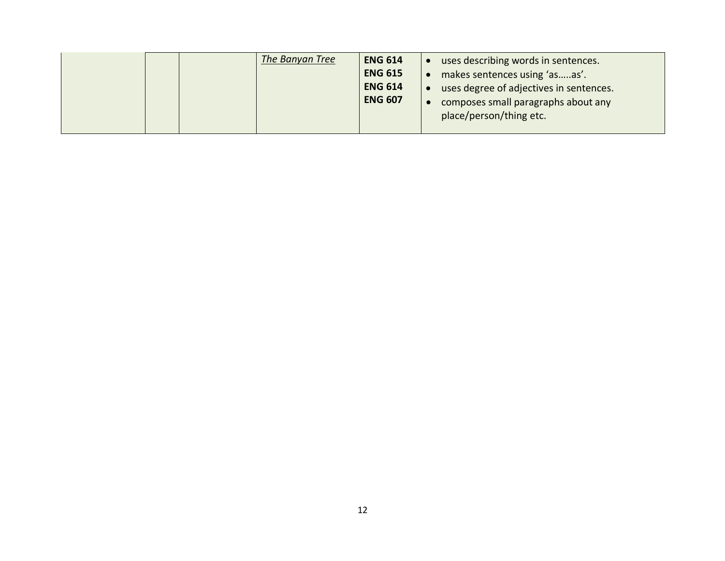|  | The Banyan Tree | <b>ENG 614</b> | uses describing words in sentences.     |
|--|-----------------|----------------|-----------------------------------------|
|  |                 | <b>ENG 615</b> | makes sentences using 'asas'.           |
|  |                 | <b>ENG 614</b> | uses degree of adjectives in sentences. |
|  |                 | <b>ENG 607</b> | composes small paragraphs about any     |
|  |                 |                | place/person/thing etc.                 |
|  |                 |                |                                         |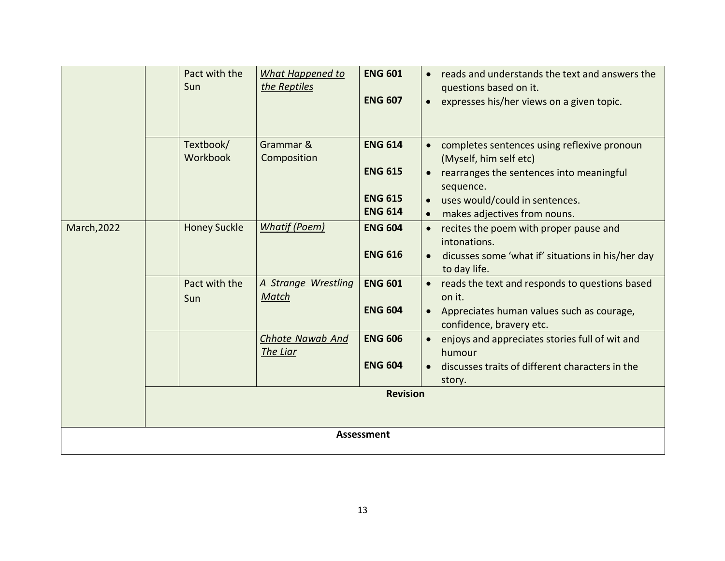|                    | Pact with the<br>Sun  | What Happened to<br>the Reptiles    | <b>ENG 601</b><br><b>ENG 607</b>                                     | reads and understands the text and answers the<br>$\bullet$<br>questions based on it.<br>expresses his/her views on a given topic.                                                                                         |  |  |
|--------------------|-----------------------|-------------------------------------|----------------------------------------------------------------------|----------------------------------------------------------------------------------------------------------------------------------------------------------------------------------------------------------------------------|--|--|
|                    | Textbook/<br>Workbook | Grammar &<br>Composition            | <b>ENG 614</b><br><b>ENG 615</b><br><b>ENG 615</b><br><b>ENG 614</b> | completes sentences using reflexive pronoun<br>$\bullet$<br>(Myself, him self etc)<br>rearranges the sentences into meaningful<br>sequence.<br>uses would/could in sentences.<br>makes adjectives from nouns.<br>$\bullet$ |  |  |
| <b>March, 2022</b> | <b>Honey Suckle</b>   | <b>Whatif (Poem)</b>                | <b>ENG 604</b><br><b>ENG 616</b>                                     | recites the poem with proper pause and<br>$\bullet$<br>intonations.<br>dicusses some 'what if' situations in his/her day<br>$\bullet$<br>to day life.                                                                      |  |  |
|                    | Pact with the<br>Sun  | A Strange Wrestling<br>Match        | <b>ENG 601</b><br><b>ENG 604</b>                                     | reads the text and responds to questions based<br>$\bullet$<br>on it.<br>Appreciates human values such as courage,<br>$\bullet$<br>confidence, bravery etc.                                                                |  |  |
|                    |                       | <b>Chhote Nawab And</b><br>The Liar | <b>ENG 606</b><br><b>ENG 604</b>                                     | enjoys and appreciates stories full of wit and<br>humour<br>discusses traits of different characters in the<br>story.                                                                                                      |  |  |
|                    |                       |                                     | <b>Revision</b>                                                      |                                                                                                                                                                                                                            |  |  |
| <b>Assessment</b>  |                       |                                     |                                                                      |                                                                                                                                                                                                                            |  |  |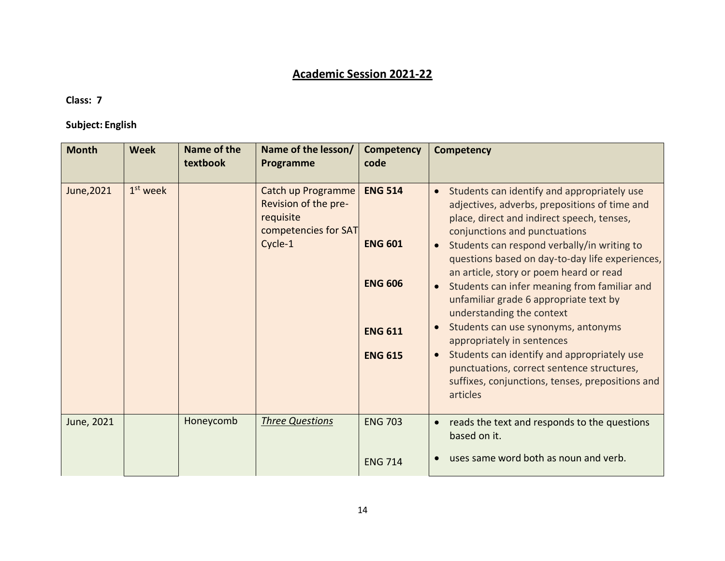# **Academic Session 2021-22**

#### **Class: 7**

### **Subject: English**

| <b>Month</b> | <b>Week</b> | Name of the<br>textbook | Name of the lesson/<br>Programme                                                           | Competency<br>code                                                                     | <b>Competency</b>                                                                                                                                                                                                                                                                                                                                                                                                                                                                                                                                                                                                                                                                                                                     |
|--------------|-------------|-------------------------|--------------------------------------------------------------------------------------------|----------------------------------------------------------------------------------------|---------------------------------------------------------------------------------------------------------------------------------------------------------------------------------------------------------------------------------------------------------------------------------------------------------------------------------------------------------------------------------------------------------------------------------------------------------------------------------------------------------------------------------------------------------------------------------------------------------------------------------------------------------------------------------------------------------------------------------------|
| June, 2021   | $1st$ week  |                         | Catch up Programme<br>Revision of the pre-<br>requisite<br>competencies for SAT<br>Cycle-1 | <b>ENG 514</b><br><b>ENG 601</b><br><b>ENG 606</b><br><b>ENG 611</b><br><b>ENG 615</b> | Students can identify and appropriately use<br>$\bullet$<br>adjectives, adverbs, prepositions of time and<br>place, direct and indirect speech, tenses,<br>conjunctions and punctuations<br>Students can respond verbally/in writing to<br>$\bullet$<br>questions based on day-to-day life experiences,<br>an article, story or poem heard or read<br>Students can infer meaning from familiar and<br>$\bullet$<br>unfamiliar grade 6 appropriate text by<br>understanding the context<br>Students can use synonyms, antonyms<br>$\bullet$<br>appropriately in sentences<br>Students can identify and appropriately use<br>punctuations, correct sentence structures,<br>suffixes, conjunctions, tenses, prepositions and<br>articles |
| June, 2021   |             | Honeycomb               | <b>Three Questions</b>                                                                     | <b>ENG 703</b><br><b>ENG 714</b>                                                       | reads the text and responds to the questions<br>$\bullet$<br>based on it.<br>uses same word both as noun and verb.                                                                                                                                                                                                                                                                                                                                                                                                                                                                                                                                                                                                                    |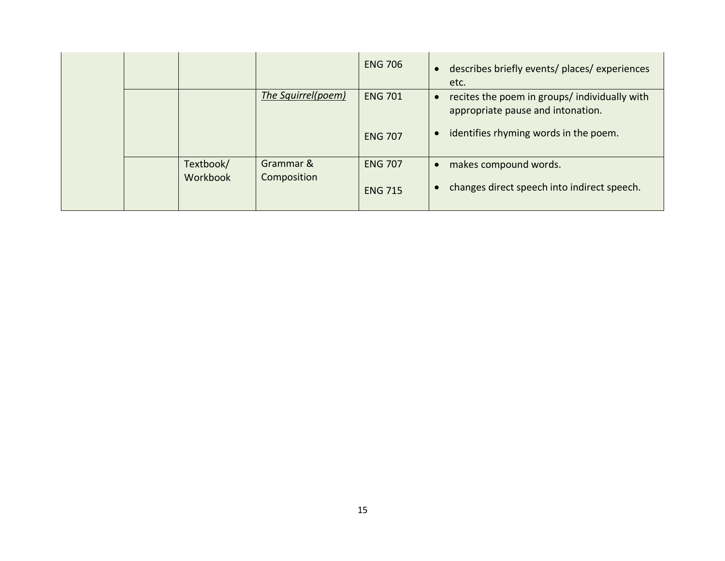|  |           |                    | <b>ENG 706</b>                   |           | describes briefly events/ places/ experiences<br>etc.                                                                       |
|--|-----------|--------------------|----------------------------------|-----------|-----------------------------------------------------------------------------------------------------------------------------|
|  |           | The Squirrel(poem) | <b>ENG 701</b><br><b>ENG 707</b> | $\bullet$ | recites the poem in groups/ individually with<br>appropriate pause and intonation.<br>identifies rhyming words in the poem. |
|  |           |                    |                                  |           |                                                                                                                             |
|  | Textbook/ | Grammar &          | <b>ENG 707</b>                   | $\bullet$ | makes compound words.                                                                                                       |
|  | Workbook  | Composition        | <b>ENG 715</b>                   |           | changes direct speech into indirect speech.                                                                                 |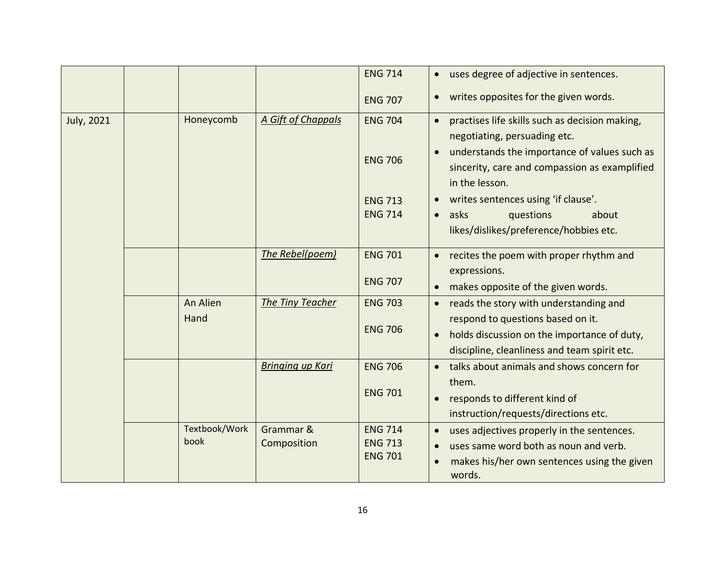|            |               |                         | <b>ENG 714</b> | uses degree of adjective in sentences.<br>$\bullet$         |
|------------|---------------|-------------------------|----------------|-------------------------------------------------------------|
|            |               |                         | <b>ENG 707</b> | writes opposites for the given words.<br>$\bullet$          |
| July, 2021 | Honeycomb     | A Gift of Chappals      | <b>ENG 704</b> | practises life skills such as decision making,<br>$\bullet$ |
|            |               |                         |                | negotiating, persuading etc.                                |
|            |               |                         | <b>ENG 706</b> | understands the importance of values such as<br>$\bullet$   |
|            |               |                         |                | sincerity, care and compassion as examplified               |
|            |               |                         |                | in the lesson.                                              |
|            |               |                         | <b>ENG 713</b> | writes sentences using 'if clause'.<br>$\bullet$            |
|            |               |                         | <b>ENG 714</b> | asks<br>questions<br>about<br>$\bullet$                     |
|            |               |                         |                | likes/dislikes/preference/hobbies etc.                      |
|            |               | The Rebel(poem)         | <b>ENG 701</b> | recites the poem with proper rhythm and<br>$\bullet$        |
|            |               |                         |                | expressions.                                                |
|            |               |                         | <b>ENG 707</b> | makes opposite of the given words.<br>$\bullet$             |
|            | An Alien      | The Tiny Teacher        | <b>ENG 703</b> | reads the story with understanding and<br>$\bullet$         |
|            | Hand          |                         |                | respond to questions based on it.                           |
|            |               |                         | <b>ENG 706</b> | holds discussion on the importance of duty,<br>$\bullet$    |
|            |               |                         |                | discipline, cleanliness and team spirit etc.                |
|            |               | <b>Bringing up Kari</b> | <b>ENG 706</b> | talks about animals and shows concern for<br>$\bullet$      |
|            |               |                         |                | them.                                                       |
|            |               |                         | <b>ENG 701</b> | responds to different kind of<br>$\bullet$                  |
|            |               |                         |                | instruction/requests/directions etc.                        |
|            | Textbook/Work | Grammar &               | <b>ENG 714</b> | uses adjectives properly in the sentences.<br>$\bullet$     |
|            | book          | Composition             | <b>ENG 713</b> | uses same word both as noun and verb.<br>$\bullet$          |
|            |               |                         | <b>ENG 701</b> | makes his/her own sentences using the given<br>$\bullet$    |
|            |               |                         |                | words.                                                      |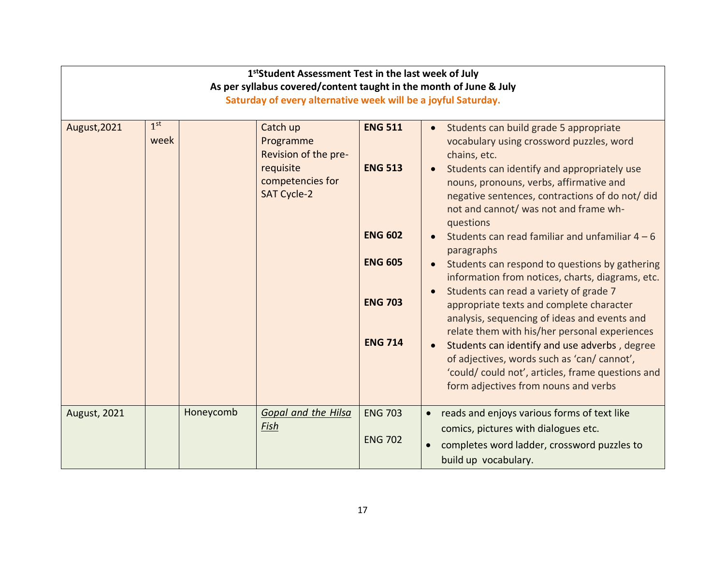| 1 <sup>st</sup> Student Assessment Test in the last week of July<br>As per syllabus covered/content taught in the month of June & July<br>Saturday of every alternative week will be a joyful Saturday. |                         |           |                                                     |                |                                                                                                                                                                                                 |  |  |
|---------------------------------------------------------------------------------------------------------------------------------------------------------------------------------------------------------|-------------------------|-----------|-----------------------------------------------------|----------------|-------------------------------------------------------------------------------------------------------------------------------------------------------------------------------------------------|--|--|
| August, 2021                                                                                                                                                                                            | 1 <sup>st</sup><br>week |           | Catch up<br>Programme<br>Revision of the pre-       | <b>ENG 511</b> | Students can build grade 5 appropriate<br>vocabulary using crossword puzzles, word<br>chains, etc.                                                                                              |  |  |
|                                                                                                                                                                                                         |                         |           | requisite<br>competencies for<br><b>SAT Cycle-2</b> | <b>ENG 513</b> | Students can identify and appropriately use<br>nouns, pronouns, verbs, affirmative and<br>negative sentences, contractions of do not/ did<br>not and cannot/ was not and frame wh-<br>questions |  |  |
|                                                                                                                                                                                                         |                         |           |                                                     | <b>ENG 602</b> | Students can read familiar and unfamiliar $4 - 6$<br>paragraphs                                                                                                                                 |  |  |
|                                                                                                                                                                                                         |                         |           |                                                     | <b>ENG 605</b> | Students can respond to questions by gathering<br>information from notices, charts, diagrams, etc.                                                                                              |  |  |
|                                                                                                                                                                                                         |                         |           |                                                     | <b>ENG 703</b> | Students can read a variety of grade 7<br>appropriate texts and complete character<br>analysis, sequencing of ideas and events and<br>relate them with his/her personal experiences             |  |  |
|                                                                                                                                                                                                         |                         |           |                                                     | <b>ENG 714</b> | Students can identify and use adverbs, degree<br>of adjectives, words such as 'can/ cannot',<br>'could/ could not', articles, frame questions and<br>form adjectives from nouns and verbs       |  |  |
| <b>August, 2021</b>                                                                                                                                                                                     |                         | Honeycomb | <b>Gopal and the Hilsa</b><br>Fish                  | <b>ENG 703</b> | reads and enjoys various forms of text like<br>$\bullet$                                                                                                                                        |  |  |
|                                                                                                                                                                                                         |                         |           |                                                     | <b>ENG 702</b> | comics, pictures with dialogues etc.<br>completes word ladder, crossword puzzles to<br>$\bullet$<br>build up vocabulary.                                                                        |  |  |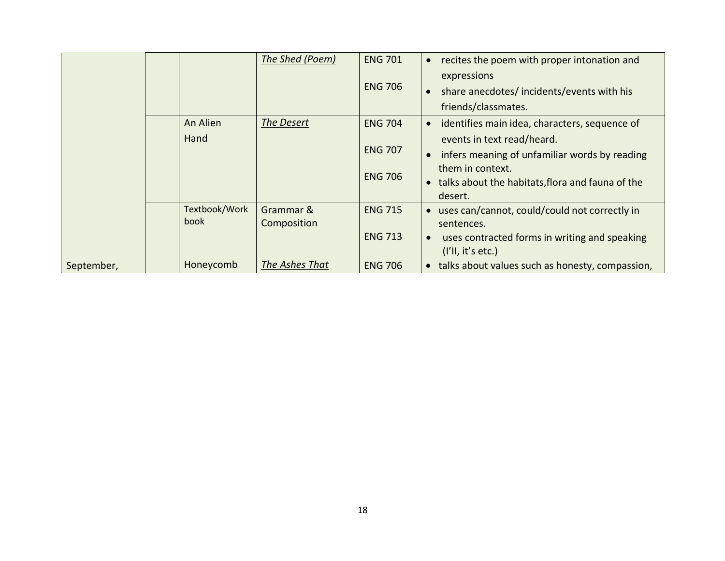|            |  |               | The Shed (Poem) | <b>ENG 701</b> | recites the poem with proper intonation and<br>$\bullet$      |
|------------|--|---------------|-----------------|----------------|---------------------------------------------------------------|
|            |  |               |                 |                | expressions                                                   |
|            |  |               |                 | <b>ENG 706</b> | share anecdotes/incidents/events with his<br>$\bullet$        |
|            |  |               |                 |                | friends/classmates.                                           |
|            |  | An Alien      | The Desert      | <b>ENG 704</b> | identifies main idea, characters, sequence of<br>$\bullet$    |
|            |  | Hand          |                 |                | events in text read/heard.                                    |
|            |  |               |                 | <b>ENG 707</b> | infers meaning of unfamiliar words by reading<br>$\bullet$    |
|            |  |               |                 | <b>ENG 706</b> | them in context.                                              |
|            |  |               |                 |                | talks about the habitats, flora and fauna of the<br>$\bullet$ |
|            |  |               |                 |                | desert.                                                       |
|            |  | Textbook/Work | Grammar &       | <b>ENG 715</b> | uses can/cannot, could/could not correctly in<br>$\bullet$    |
|            |  | book          | Composition     |                | sentences.                                                    |
|            |  |               |                 | <b>ENG 713</b> | uses contracted forms in writing and speaking<br>$\bullet$    |
|            |  |               |                 |                | (I'll, it's etc.)                                             |
| September, |  | Honeycomb     | The Ashes That  | <b>ENG 706</b> | talks about values such as honesty, compassion,<br>$\bullet$  |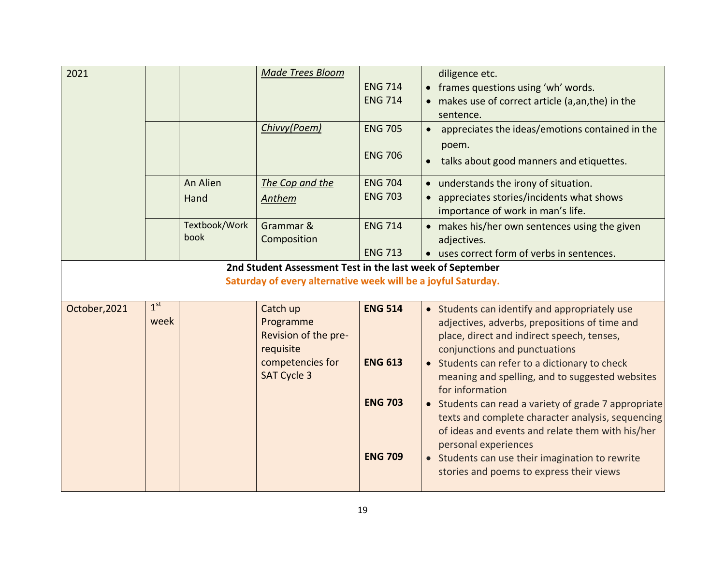| 2021          |                         |                       | <b>Made Trees Bloom</b><br>Chivvy(Poem)                                                                                    | <b>ENG 714</b><br><b>ENG 714</b><br><b>ENG 705</b><br><b>ENG 706</b> | diligence etc.<br>• frames questions using 'wh' words.<br>• makes use of correct article (a,an,the) in the<br>sentence.<br>appreciates the ideas/emotions contained in the<br>$\bullet$<br>poem.<br>talks about good manners and etiquettes.                                      |
|---------------|-------------------------|-----------------------|----------------------------------------------------------------------------------------------------------------------------|----------------------------------------------------------------------|-----------------------------------------------------------------------------------------------------------------------------------------------------------------------------------------------------------------------------------------------------------------------------------|
|               |                         | An Alien<br>Hand      | The Cop and the<br>Anthem                                                                                                  | <b>ENG 704</b><br><b>ENG 703</b>                                     | • understands the irony of situation.<br>• appreciates stories/incidents what shows<br>importance of work in man's life.                                                                                                                                                          |
|               |                         | Textbook/Work<br>book | Grammar &<br>Composition                                                                                                   | <b>ENG 714</b><br><b>ENG 713</b>                                     | • makes his/her own sentences using the given<br>adjectives.<br>• uses correct form of verbs in sentences.                                                                                                                                                                        |
|               |                         |                       | 2nd Student Assessment Test in the last week of September<br>Saturday of every alternative week will be a joyful Saturday. |                                                                      |                                                                                                                                                                                                                                                                                   |
| October, 2021 | 1 <sup>st</sup><br>week |                       | Catch up<br>Programme<br>Revision of the pre-<br>requisite<br>competencies for<br><b>SAT Cycle 3</b>                       | <b>ENG 514</b><br><b>ENG 613</b>                                     | • Students can identify and appropriately use<br>adjectives, adverbs, prepositions of time and<br>place, direct and indirect speech, tenses,<br>conjunctions and punctuations<br>• Students can refer to a dictionary to check<br>meaning and spelling, and to suggested websites |
|               |                         |                       |                                                                                                                            | <b>ENG 703</b>                                                       | for information<br>• Students can read a variety of grade 7 appropriate<br>texts and complete character analysis, sequencing<br>of ideas and events and relate them with his/her<br>personal experiences                                                                          |
|               |                         |                       |                                                                                                                            | <b>ENG 709</b>                                                       | • Students can use their imagination to rewrite<br>stories and poems to express their views                                                                                                                                                                                       |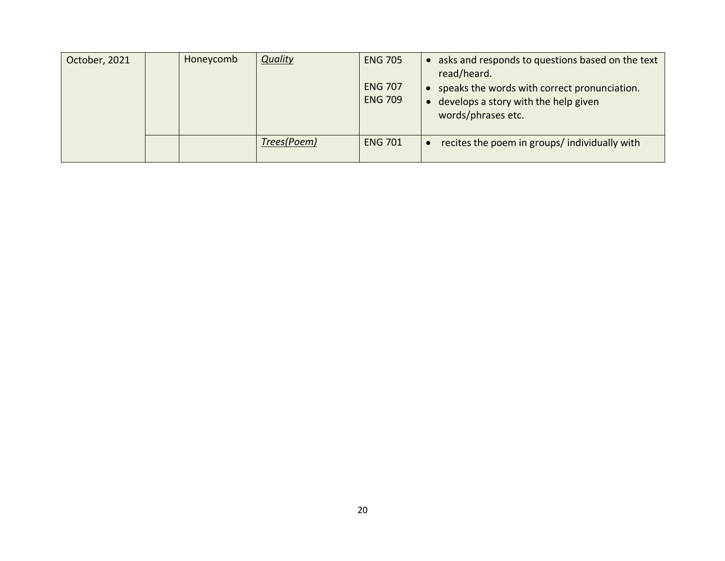| October, 2021 | Honeycomb | <b>Quality</b> | <b>ENG 705</b><br><b>ENG 707</b><br><b>ENG 709</b> | asks and responds to questions based on the text<br>read/heard.<br>speaks the words with correct pronunciation.<br>develops a story with the help given<br>words/phrases etc. |
|---------------|-----------|----------------|----------------------------------------------------|-------------------------------------------------------------------------------------------------------------------------------------------------------------------------------|
|               |           | Trees(Poem)    | <b>ENG 701</b>                                     | recites the poem in groups/ individually with                                                                                                                                 |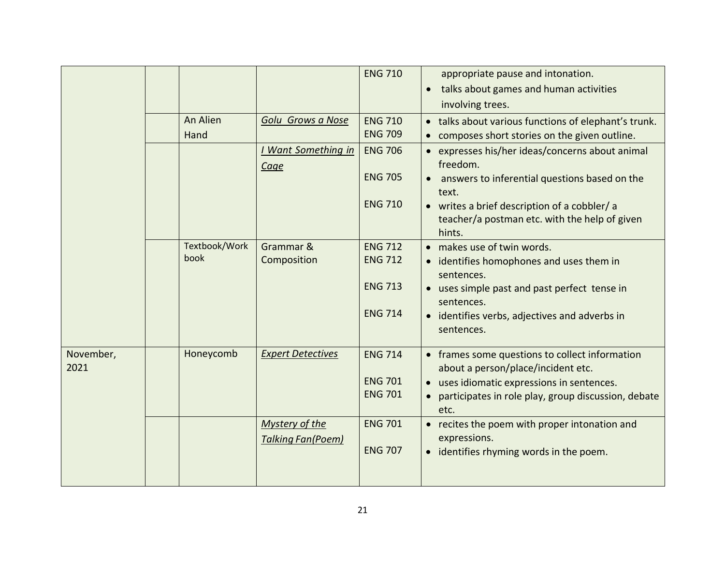|                   |                       |                                                   | <b>ENG 710</b>                                     | appropriate pause and intonation.<br>talks about games and human activities<br>$\bullet$<br>involving trees.                                                                       |
|-------------------|-----------------------|---------------------------------------------------|----------------------------------------------------|------------------------------------------------------------------------------------------------------------------------------------------------------------------------------------|
|                   | An Alien<br>Hand      | Golu Grows a Nose                                 | <b>ENG 710</b><br><b>ENG 709</b>                   | • talks about various functions of elephant's trunk.<br>composes short stories on the given outline.                                                                               |
|                   |                       | <b>Want Something in</b><br><b>Cage</b>           | <b>ENG 706</b><br><b>ENG 705</b><br><b>ENG 710</b> | • expresses his/her ideas/concerns about animal<br>freedom.<br>answers to inferential questions based on the<br>$\bullet$<br>text.<br>• writes a brief description of a cobbler/ a |
|                   |                       |                                                   |                                                    | teacher/a postman etc. with the help of given<br>hints.                                                                                                                            |
|                   | Textbook/Work<br>book | Grammar &<br>Composition                          | <b>ENG 712</b><br><b>ENG 712</b>                   | • makes use of twin words.<br>identifies homophones and uses them in<br>sentences.                                                                                                 |
|                   |                       |                                                   | <b>ENG 713</b><br><b>ENG 714</b>                   | • uses simple past and past perfect tense in<br>sentences.                                                                                                                         |
|                   |                       |                                                   |                                                    | • identifies verbs, adjectives and adverbs in<br>sentences.                                                                                                                        |
| November,<br>2021 | Honeycomb             | <b>Expert Detectives</b>                          | <b>ENG 714</b>                                     | • frames some questions to collect information<br>about a person/place/incident etc.                                                                                               |
|                   |                       |                                                   | <b>ENG 701</b><br><b>ENG 701</b>                   | • uses idiomatic expressions in sentences.<br>participates in role play, group discussion, debate<br>etc.                                                                          |
|                   |                       | <b>Mystery of the</b><br><b>Talking Fan(Poem)</b> | <b>ENG 701</b><br><b>ENG 707</b>                   | • recites the poem with proper intonation and<br>expressions.<br>identifies rhyming words in the poem.<br>$\bullet$                                                                |
|                   |                       |                                                   |                                                    |                                                                                                                                                                                    |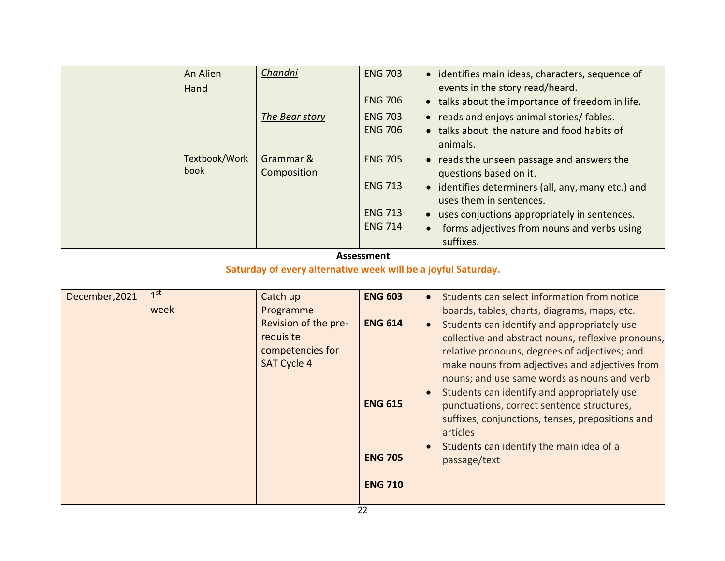|                                                                                    |                         | An Alien<br>Hand      | Chandni<br>The Bear story                                                                            | <b>ENG 703</b><br><b>ENG 706</b><br><b>ENG 703</b><br><b>ENG 706</b>                   | • identifies main ideas, characters, sequence of<br>events in the story read/heard.<br>talks about the importance of freedom in life.<br>$\bullet$<br>reads and enjoys animal stories/ fables.<br>• talks about the nature and food habits of<br>animals.                                                                                                                                                                                                                                                                                                                                             |
|------------------------------------------------------------------------------------|-------------------------|-----------------------|------------------------------------------------------------------------------------------------------|----------------------------------------------------------------------------------------|-------------------------------------------------------------------------------------------------------------------------------------------------------------------------------------------------------------------------------------------------------------------------------------------------------------------------------------------------------------------------------------------------------------------------------------------------------------------------------------------------------------------------------------------------------------------------------------------------------|
|                                                                                    |                         | Textbook/Work<br>book | Grammar &<br>Composition                                                                             | <b>ENG 705</b><br><b>ENG 713</b><br><b>ENG 713</b><br><b>ENG 714</b>                   | • reads the unseen passage and answers the<br>questions based on it.<br>• identifies determiners (all, any, many etc.) and<br>uses them in sentences.<br>• uses conjuctions appropriately in sentences.<br>forms adjectives from nouns and verbs using<br>suffixes.                                                                                                                                                                                                                                                                                                                                   |
| <b>Assessment</b><br>Saturday of every alternative week will be a joyful Saturday. |                         |                       |                                                                                                      |                                                                                        |                                                                                                                                                                                                                                                                                                                                                                                                                                                                                                                                                                                                       |
| December, 2021                                                                     | 1 <sup>st</sup><br>week |                       | Catch up<br>Programme<br>Revision of the pre-<br>requisite<br>competencies for<br><b>SAT Cycle 4</b> | <b>ENG 603</b><br><b>ENG 614</b><br><b>ENG 615</b><br><b>ENG 705</b><br><b>ENG 710</b> | Students can select information from notice<br>boards, tables, charts, diagrams, maps, etc.<br>Students can identify and appropriately use<br>$\bullet$<br>collective and abstract nouns, reflexive pronouns,<br>relative pronouns, degrees of adjectives; and<br>make nouns from adjectives and adjectives from<br>nouns; and use same words as nouns and verb<br>Students can identify and appropriately use<br>$\bullet$<br>punctuations, correct sentence structures,<br>suffixes, conjunctions, tenses, prepositions and<br>articles<br>Students can identify the main idea of a<br>passage/text |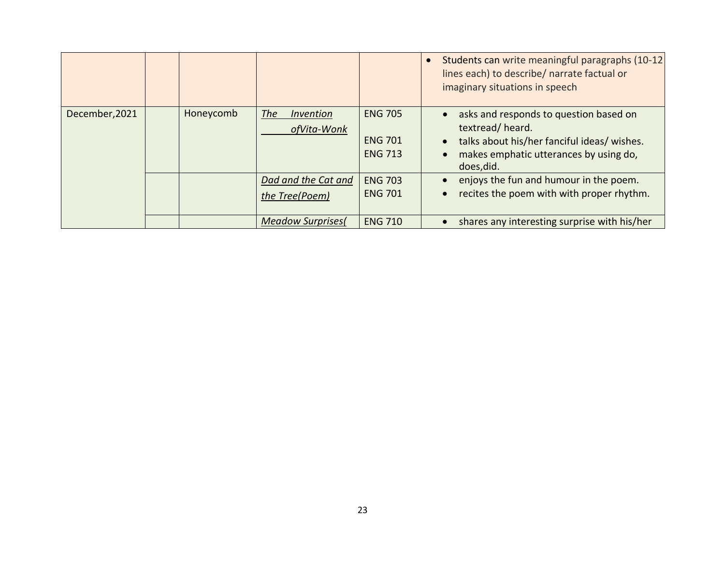|                |           |                                       |                                                    | Students can write meaningful paragraphs (10-12)<br>lines each) to describe/ narrate factual or<br>imaginary situations in speech                                                          |
|----------------|-----------|---------------------------------------|----------------------------------------------------|--------------------------------------------------------------------------------------------------------------------------------------------------------------------------------------------|
| December, 2021 | Honeycomb | The<br>Invention<br>ofVita-Wonk       | <b>ENG 705</b><br><b>ENG 701</b><br><b>ENG 713</b> | asks and responds to question based on<br>$\bullet$<br>textread/heard.<br>talks about his/her fanciful ideas/ wishes.<br>$\bullet$<br>makes emphatic utterances by using do,<br>does, did. |
|                |           | Dad and the Cat and<br>the Tree(Poem) | <b>ENG 703</b><br><b>ENG 701</b>                   | enjoys the fun and humour in the poem.<br>recites the poem with with proper rhythm.<br>$\bullet$                                                                                           |
|                |           | <b>Meadow Surprises</b>               | <b>ENG 710</b>                                     | shares any interesting surprise with his/her                                                                                                                                               |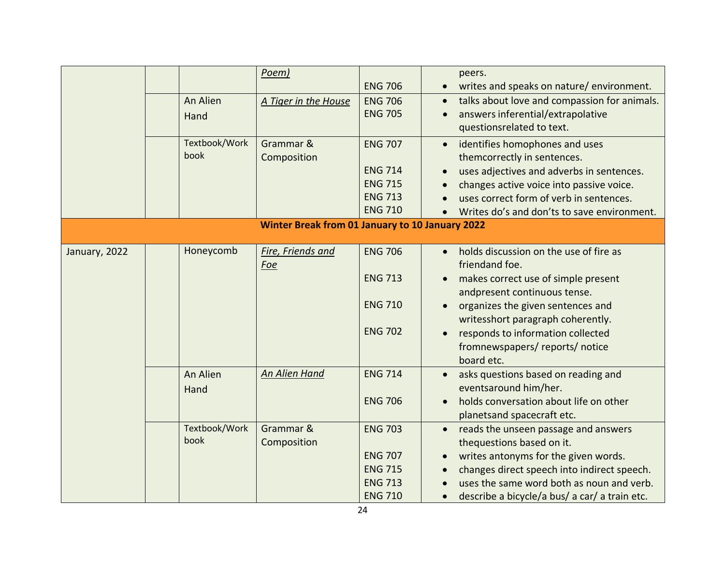|               | An Alien<br>Hand      | Poem)<br>A Tiger in the House                          | <b>ENG 706</b><br><b>ENG 706</b><br><b>ENG 705</b>                                     | peers.<br>writes and speaks on nature/environment.<br>$\bullet$<br>talks about love and compassion for animals.<br>$\bullet$<br>answers inferential/extrapolative<br>$\bullet$<br>questionsrelated to text.                                                                                                             |
|---------------|-----------------------|--------------------------------------------------------|----------------------------------------------------------------------------------------|-------------------------------------------------------------------------------------------------------------------------------------------------------------------------------------------------------------------------------------------------------------------------------------------------------------------------|
|               | Textbook/Work<br>book | Grammar &<br>Composition                               | <b>ENG 707</b><br><b>ENG 714</b><br><b>ENG 715</b><br><b>ENG 713</b><br><b>ENG 710</b> | identifies homophones and uses<br>$\bullet$<br>themcorrectly in sentences.<br>uses adjectives and adverbs in sentences.<br>$\bullet$<br>changes active voice into passive voice.<br>uses correct form of verb in sentences.<br>Writes do's and don'ts to save environment.                                              |
|               |                       | <b>Winter Break from 01 January to 10 January 2022</b> |                                                                                        |                                                                                                                                                                                                                                                                                                                         |
| January, 2022 | Honeycomb             | <b>Fire, Friends and</b><br>Foe                        | <b>ENG 706</b><br><b>ENG 713</b><br><b>ENG 710</b><br><b>ENG 702</b>                   | holds discussion on the use of fire as<br>$\bullet$<br>friendand foe.<br>makes correct use of simple present<br>$\bullet$<br>andpresent continuous tense.<br>organizes the given sentences and<br>writesshort paragraph coherently.<br>responds to information collected<br>fromnewspapers/reports/notice<br>board etc. |
|               | An Alien<br>Hand      | <b>An Alien Hand</b>                                   | <b>ENG 714</b><br><b>ENG 706</b>                                                       | asks questions based on reading and<br>eventsaround him/her.<br>holds conversation about life on other<br>planetsand spacecraft etc.                                                                                                                                                                                    |
|               | Textbook/Work<br>book | Grammar &<br>Composition                               | <b>ENG 703</b><br><b>ENG 707</b><br><b>ENG 715</b><br><b>ENG 713</b><br><b>ENG 710</b> | reads the unseen passage and answers<br>$\bullet$<br>thequestions based on it.<br>writes antonyms for the given words.<br>changes direct speech into indirect speech.<br>uses the same word both as noun and verb.<br>describe a bicycle/a bus/ a car/ a train etc.<br>$\bullet$                                        |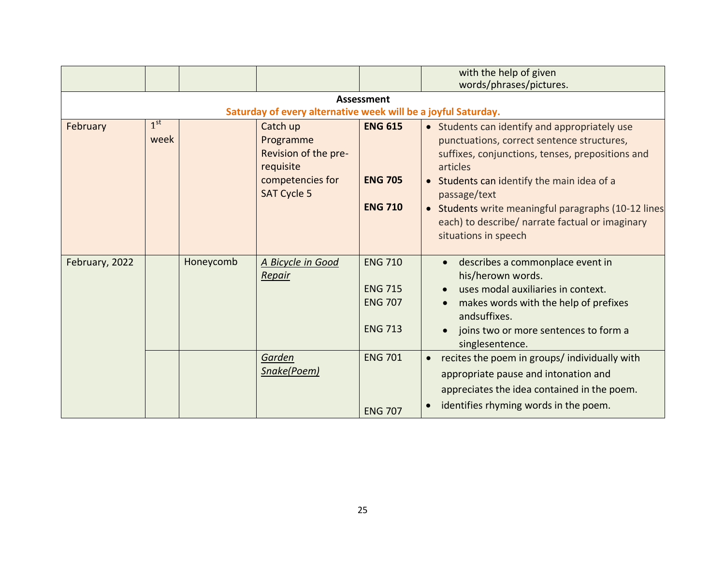|                |                         |           |                                                                                                      |                                                                      | with the help of given<br>words/phrases/pictures.                                                                                                                                                                                                                                                                                                           |
|----------------|-------------------------|-----------|------------------------------------------------------------------------------------------------------|----------------------------------------------------------------------|-------------------------------------------------------------------------------------------------------------------------------------------------------------------------------------------------------------------------------------------------------------------------------------------------------------------------------------------------------------|
|                |                         |           | Saturday of every alternative week will be a joyful Saturday.                                        | <b>Assessment</b>                                                    |                                                                                                                                                                                                                                                                                                                                                             |
| February       | 1 <sup>st</sup><br>week |           | Catch up<br>Programme<br>Revision of the pre-<br>requisite<br>competencies for<br><b>SAT Cycle 5</b> | <b>ENG 615</b><br><b>ENG 705</b><br><b>ENG 710</b>                   | • Students can identify and appropriately use<br>punctuations, correct sentence structures,<br>suffixes, conjunctions, tenses, prepositions and<br>articles<br>• Students can identify the main idea of a<br>passage/text<br>• Students write meaningful paragraphs (10-12 lines<br>each) to describe/ narrate factual or imaginary<br>situations in speech |
| February, 2022 |                         | Honeycomb | A Bicycle in Good<br>Repair                                                                          | <b>ENG 710</b><br><b>ENG 715</b><br><b>ENG 707</b><br><b>ENG 713</b> | describes a commonplace event in<br>$\bullet$<br>his/herown words.<br>uses modal auxiliaries in context.<br>makes words with the help of prefixes<br>$\bullet$<br>andsuffixes.<br>joins two or more sentences to form a<br>$\bullet$<br>singlesentence.                                                                                                     |
|                |                         |           | Garden<br>Snake(Poem)                                                                                | <b>ENG 701</b><br><b>ENG 707</b>                                     | recites the poem in groups/ individually with<br>$\bullet$<br>appropriate pause and intonation and<br>appreciates the idea contained in the poem.<br>identifies rhyming words in the poem.<br>$\bullet$                                                                                                                                                     |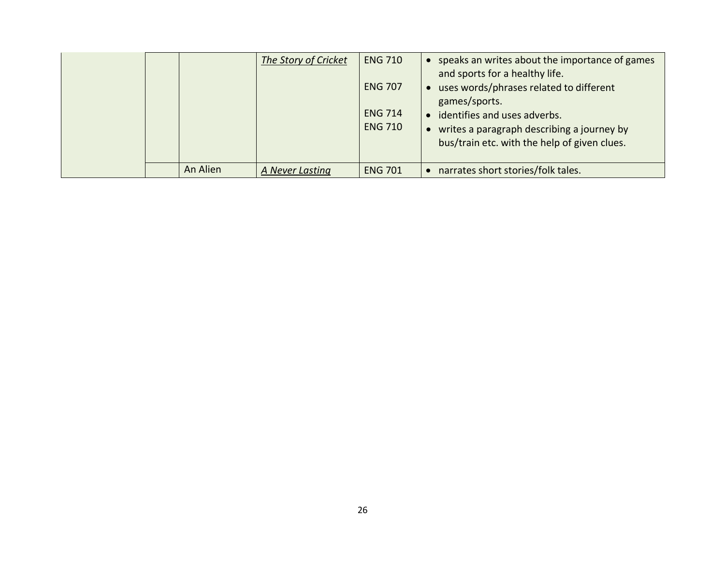|  |          | The Story of Cricket | <b>ENG 710</b><br><b>ENG 707</b><br><b>ENG 714</b><br><b>ENG 710</b> | speaks an writes about the importance of games<br>and sports for a healthy life.<br>uses words/phrases related to different<br>games/sports.<br>identifies and uses adverbs.<br>writes a paragraph describing a journey by<br>bus/train etc. with the help of given clues. |
|--|----------|----------------------|----------------------------------------------------------------------|----------------------------------------------------------------------------------------------------------------------------------------------------------------------------------------------------------------------------------------------------------------------------|
|  | An Alien | A Never Lasting      | <b>ENG 701</b>                                                       | narrates short stories/folk tales.                                                                                                                                                                                                                                         |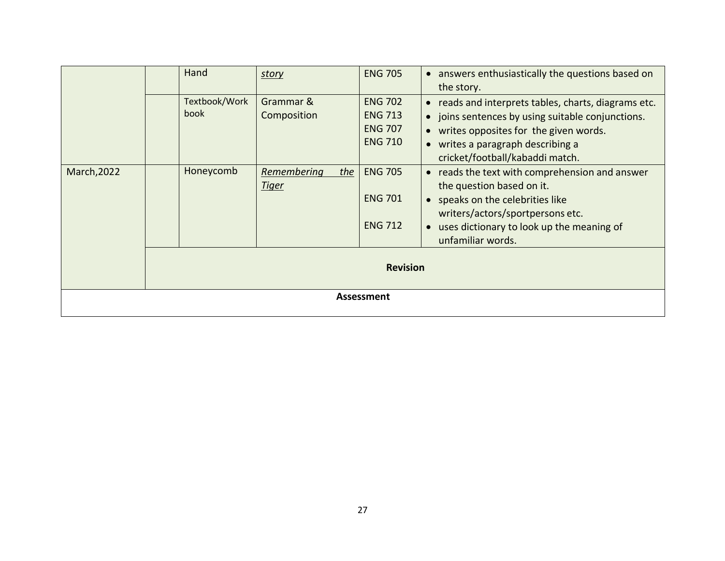|             | Hand          | story              | <b>ENG 705</b>  | • answers enthusiastically the questions based on               |
|-------------|---------------|--------------------|-----------------|-----------------------------------------------------------------|
|             |               |                    |                 | the story.                                                      |
|             | Textbook/Work | Grammar &          | <b>ENG 702</b>  | reads and interprets tables, charts, diagrams etc.<br>$\bullet$ |
|             | book          | Composition        | <b>ENG 713</b>  | joins sentences by using suitable conjunctions.<br>$\bullet$    |
|             |               |                    | <b>ENG 707</b>  | writes opposites for the given words.<br>$\bullet$              |
|             |               |                    | <b>ENG 710</b>  | • writes a paragraph describing a                               |
|             |               |                    |                 | cricket/football/kabaddi match.                                 |
| March, 2022 | Honeycomb     | Remembering<br>the | <b>ENG 705</b>  | reads the text with comprehension and answer<br>$\bullet$       |
|             |               | <u>Tiger</u>       |                 | the question based on it.                                       |
|             |               |                    | <b>ENG 701</b>  | • speaks on the celebrities like                                |
|             |               |                    |                 | writers/actors/sportpersons etc.                                |
|             |               |                    | <b>ENG 712</b>  | uses dictionary to look up the meaning of<br>$\bullet$          |
|             |               |                    |                 | unfamiliar words.                                               |
|             |               |                    |                 |                                                                 |
|             |               |                    | <b>Revision</b> |                                                                 |
|             |               |                    |                 |                                                                 |
|             |               |                    | Assessment      |                                                                 |
|             |               |                    |                 |                                                                 |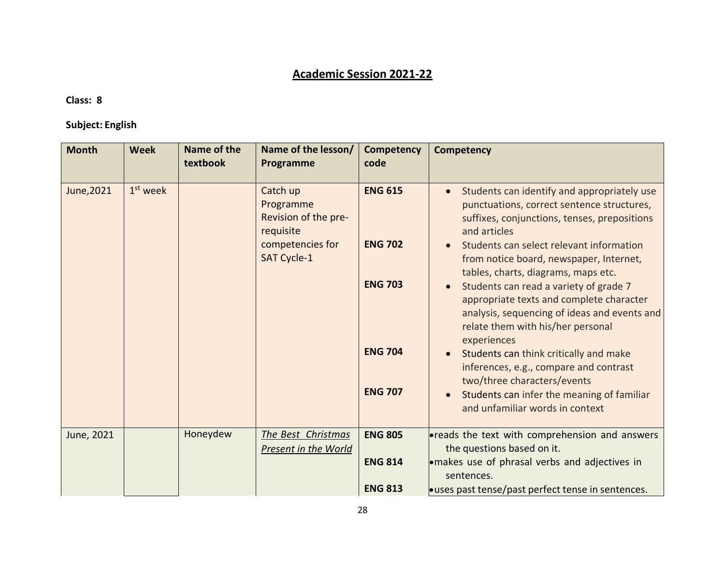# **Academic Session 2021-22**

#### **Class: 8**

### **Subject: English**

| <b>Month</b> | <b>Week</b> | Name of the<br>textbook | Name of the lesson/<br>Programme                                                              | Competency<br>code                                                                     | <b>Competency</b>                                                                                                                                                                                                                                                                                                                                                                                                                                                                                                                                                                                                                                                                     |
|--------------|-------------|-------------------------|-----------------------------------------------------------------------------------------------|----------------------------------------------------------------------------------------|---------------------------------------------------------------------------------------------------------------------------------------------------------------------------------------------------------------------------------------------------------------------------------------------------------------------------------------------------------------------------------------------------------------------------------------------------------------------------------------------------------------------------------------------------------------------------------------------------------------------------------------------------------------------------------------|
| June, 2021   | $1st$ week  |                         | Catch up<br>Programme<br>Revision of the pre-<br>requisite<br>competencies for<br>SAT Cycle-1 | <b>ENG 615</b><br><b>ENG 702</b><br><b>ENG 703</b><br><b>ENG 704</b><br><b>ENG 707</b> | Students can identify and appropriately use<br>punctuations, correct sentence structures,<br>suffixes, conjunctions, tenses, prepositions<br>and articles<br>Students can select relevant information<br>from notice board, newspaper, Internet,<br>tables, charts, diagrams, maps etc.<br>Students can read a variety of grade 7<br>appropriate texts and complete character<br>analysis, sequencing of ideas and events and<br>relate them with his/her personal<br>experiences<br>Students can think critically and make<br>inferences, e.g., compare and contrast<br>two/three characters/events<br>Students can infer the meaning of familiar<br>and unfamiliar words in context |
| June, 2021   |             | Honeydew                | The Best Christmas<br>Present in the World                                                    | <b>ENG 805</b><br><b>ENG 814</b><br><b>ENG 813</b>                                     | <b>•</b> reads the text with comprehension and answers<br>the questions based on it.<br>. makes use of phrasal verbs and adjectives in<br>sentences.<br><b>• uses past tense/past perfect tense in sentences.</b>                                                                                                                                                                                                                                                                                                                                                                                                                                                                     |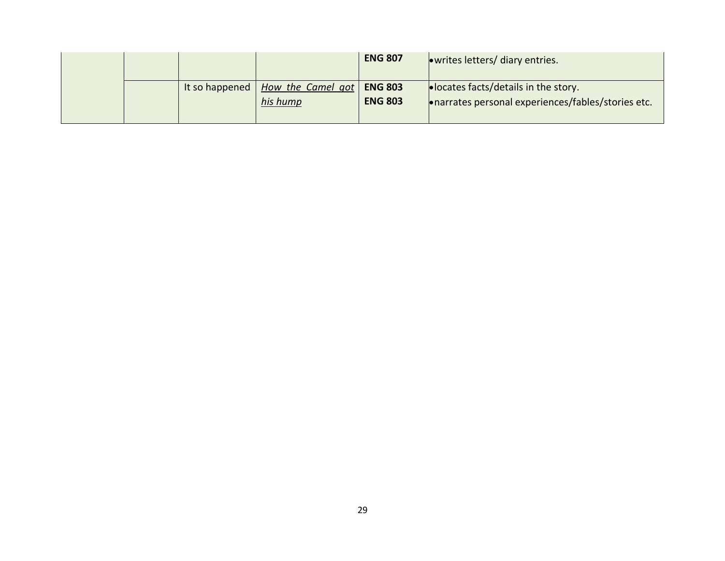|                |                               | <b>ENG 807</b>                   | owrites letters/ diary entries.                                                                      |
|----------------|-------------------------------|----------------------------------|------------------------------------------------------------------------------------------------------|
| It so happened | How the Camel got<br>his hump | <b>ENG 803</b><br><b>ENG 803</b> | $\bullet$ locates facts/details in the story.<br>• narrates personal experiences/fables/stories etc. |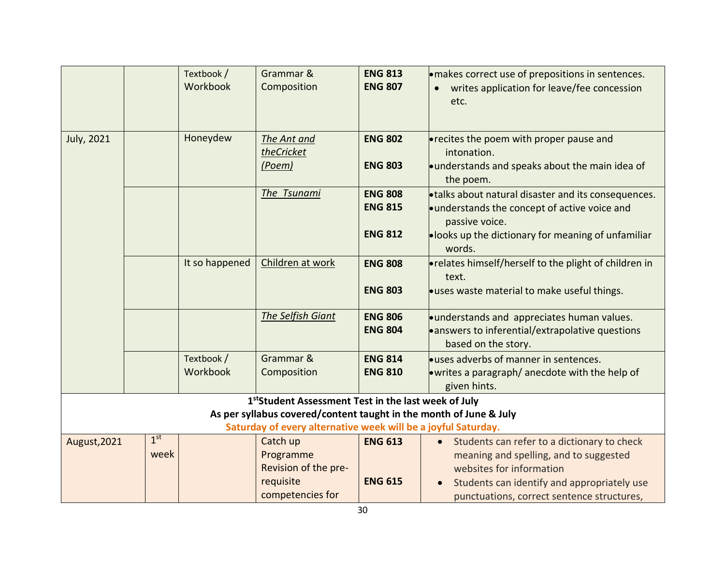|                   |                         | Textbook /<br>Workbook | Grammar &<br>Composition                                                                                                                                                                   | <b>ENG 813</b><br><b>ENG 807</b>                   | · makes correct use of prepositions in sentences.<br>writes application for leave/fee concession<br>etc.                                                                                                                    |
|-------------------|-------------------------|------------------------|--------------------------------------------------------------------------------------------------------------------------------------------------------------------------------------------|----------------------------------------------------|-----------------------------------------------------------------------------------------------------------------------------------------------------------------------------------------------------------------------------|
| <b>July, 2021</b> |                         | Honeydew               | The Ant and<br>theCricket<br>(Poem)                                                                                                                                                        | <b>ENG 802</b><br><b>ENG 803</b>                   | <b>•</b> recites the poem with proper pause and<br>intonation.<br>understands and speaks about the main idea of<br>the poem.                                                                                                |
|                   |                         |                        | The Tsunami                                                                                                                                                                                | <b>ENG 808</b><br><b>ENG 815</b><br><b>ENG 812</b> | • talks about natural disaster and its consequences.<br>understands the concept of active voice and<br>passive voice.<br><b>•looks up the dictionary for meaning of unfamiliar</b><br>words.                                |
|                   |                         | It so happened         | Children at work                                                                                                                                                                           | <b>ENG 808</b><br><b>ENG 803</b>                   | • relates himself/herself to the plight of children in<br>text.<br>ouses waste material to make useful things.                                                                                                              |
|                   |                         |                        | The Selfish Giant                                                                                                                                                                          | <b>ENG 806</b><br><b>ENG 804</b>                   | understands and appreciates human values.<br>• answers to inferential/extrapolative questions<br>based on the story.                                                                                                        |
|                   |                         | Textbook /<br>Workbook | Grammar &<br>Composition                                                                                                                                                                   | <b>ENG 814</b><br><b>ENG 810</b>                   | <b>Let uses adverbs of manner in sentences.</b><br>• writes a paragraph/ anecdote with the help of<br>given hints.                                                                                                          |
|                   |                         |                        | 1stStudent Assessment Test in the last week of July<br>As per syllabus covered/content taught in the month of June & July<br>Saturday of every alternative week will be a joyful Saturday. |                                                    |                                                                                                                                                                                                                             |
| August, 2021      | 1 <sup>st</sup><br>week |                        | Catch up<br>Programme<br>Revision of the pre-<br>requisite<br>competencies for                                                                                                             | <b>ENG 613</b><br><b>ENG 615</b>                   | Students can refer to a dictionary to check<br>$\bullet$<br>meaning and spelling, and to suggested<br>websites for information<br>Students can identify and appropriately use<br>punctuations, correct sentence structures, |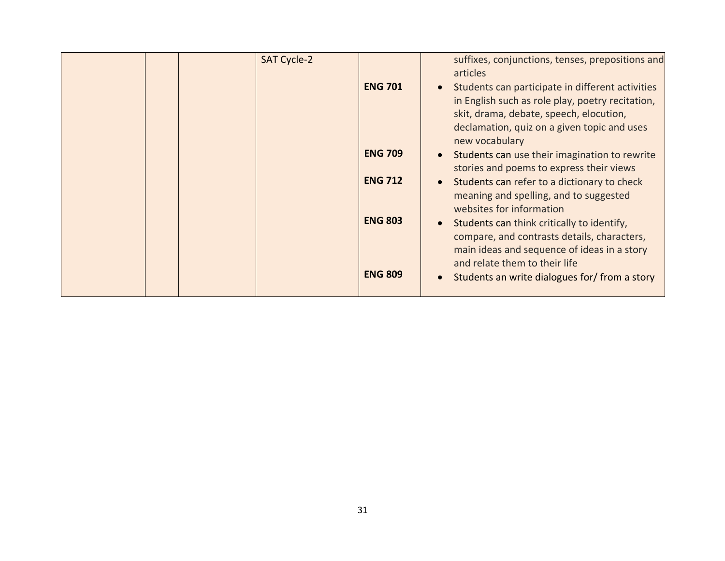|  | <b>SAT Cycle-2</b> |                |           | suffixes, conjunctions, tenses, prepositions and<br>articles                                                                                    |
|--|--------------------|----------------|-----------|-------------------------------------------------------------------------------------------------------------------------------------------------|
|  |                    | <b>ENG 701</b> |           | Students can participate in different activities<br>in English such as role play, poetry recitation,<br>skit, drama, debate, speech, elocution, |
|  |                    |                |           | declamation, quiz on a given topic and uses<br>new vocabulary                                                                                   |
|  |                    | <b>ENG 709</b> |           | Students can use their imagination to rewrite<br>stories and poems to express their views                                                       |
|  |                    | <b>ENG 712</b> | $\bullet$ | Students can refer to a dictionary to check<br>meaning and spelling, and to suggested<br>websites for information                               |
|  |                    | <b>ENG 803</b> | $\bullet$ | Students can think critically to identify,<br>compare, and contrasts details, characters,<br>main ideas and sequence of ideas in a story        |
|  |                    | <b>ENG 809</b> |           | and relate them to their life<br>Students an write dialogues for/ from a story                                                                  |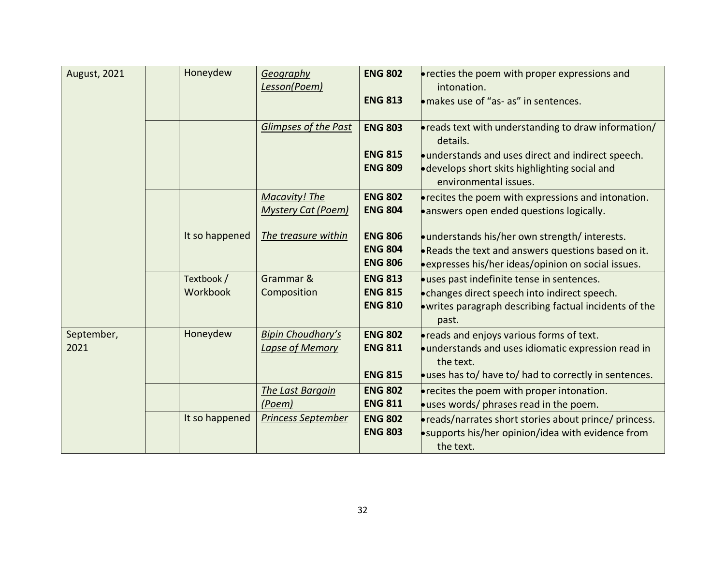| <b>August, 2021</b> | Honeydew        | Geography                   | <b>ENG 802</b> | <b>•</b> recties the poem with proper expressions and                   |
|---------------------|-----------------|-----------------------------|----------------|-------------------------------------------------------------------------|
|                     |                 | Lesson(Poem)                |                | intonation.                                                             |
|                     |                 |                             | <b>ENG 813</b> | makes use of "as- as" in sentences.                                     |
|                     |                 |                             |                |                                                                         |
|                     |                 | <b>Glimpses of the Past</b> | <b>ENG 803</b> | • reads text with understanding to draw information/<br>details.        |
|                     |                 |                             | <b>ENG 815</b> | understands and uses direct and indirect speech.                        |
|                     |                 |                             | <b>ENG 809</b> | • develops short skits highlighting social and<br>environmental issues. |
|                     |                 | <b>Macavity! The</b>        | <b>ENG 802</b> | <b>•</b> recites the poem with expressions and intonation.              |
|                     |                 | <b>Mystery Cat (Poem)</b>   | <b>ENG 804</b> | ·answers open ended questions logically.                                |
|                     |                 |                             |                |                                                                         |
|                     | It so happened  | The treasure within         | <b>ENG 806</b> | •understands his/her own strength/interests.                            |
|                     |                 |                             | <b>ENG 804</b> | . Reads the text and answers questions based on it.                     |
|                     |                 |                             | <b>ENG 806</b> | expresses his/her ideas/opinion on social issues.                       |
|                     | Textbook /      | Grammar &                   | <b>ENG 813</b> | <b>.</b> uses past indefinite tense in sentences.                       |
|                     | <b>Workbook</b> | Composition                 | <b>ENG 815</b> | • changes direct speech into indirect speech.                           |
|                     |                 |                             | <b>ENG 810</b> | . writes paragraph describing factual incidents of the                  |
|                     |                 |                             |                | past.                                                                   |
| September,          | Honeydew        | <b>Bipin Choudhary's</b>    | <b>ENG 802</b> | • reads and enjoys various forms of text.                               |
| 2021                |                 | Lapse of Memory             | <b>ENG 811</b> | · understands and uses idiomatic expression read in<br>the text.        |
|                     |                 |                             | <b>ENG 815</b> | ouses has to/ have to/ had to correctly in sentences.                   |
|                     |                 | The Last Bargain            | <b>ENG 802</b> | <b>•</b> recites the poem with proper intonation.                       |
|                     |                 | (Poem)                      | <b>ENG 811</b> | ouses words/ phrases read in the poem.                                  |
|                     | It so happened  | <b>Princess September</b>   | <b>ENG 802</b> | • reads/narrates short stories about prince/ princess.                  |
|                     |                 |                             | <b>ENG 803</b> | <b>•</b> supports his/her opinion/idea with evidence from               |
|                     |                 |                             |                | the text.                                                               |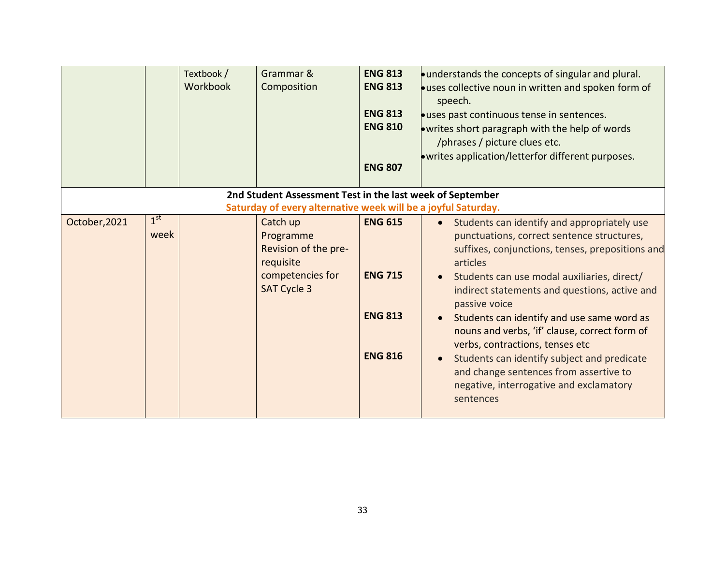|               |                 | Textbook /<br>Workbook | Grammar &<br>Composition                                      | <b>ENG 813</b><br><b>ENG 813</b><br><b>ENG 813</b><br><b>ENG 810</b><br><b>ENG 807</b> | ounderstands the concepts of singular and plural.<br>· uses collective noun in written and spoken form of<br>speech.<br><b>.</b> uses past continuous tense in sentences.<br>• writes short paragraph with the help of words<br>/phrases / picture clues etc.<br>. writes application/letterfor different purposes. |
|---------------|-----------------|------------------------|---------------------------------------------------------------|----------------------------------------------------------------------------------------|---------------------------------------------------------------------------------------------------------------------------------------------------------------------------------------------------------------------------------------------------------------------------------------------------------------------|
|               |                 |                        | 2nd Student Assessment Test in the last week of September     |                                                                                        |                                                                                                                                                                                                                                                                                                                     |
|               |                 |                        | Saturday of every alternative week will be a joyful Saturday. |                                                                                        |                                                                                                                                                                                                                                                                                                                     |
| October, 2021 | 1 <sup>st</sup> |                        | Catch up                                                      | <b>ENG 615</b>                                                                         | Students can identify and appropriately use<br>$\bullet$                                                                                                                                                                                                                                                            |
|               | week            |                        | Programme                                                     |                                                                                        | punctuations, correct sentence structures,                                                                                                                                                                                                                                                                          |
|               |                 |                        | Revision of the pre-                                          |                                                                                        | suffixes, conjunctions, tenses, prepositions and                                                                                                                                                                                                                                                                    |
|               |                 |                        | requisite                                                     |                                                                                        | articles                                                                                                                                                                                                                                                                                                            |
|               |                 |                        | competencies for                                              | <b>ENG 715</b>                                                                         | Students can use modal auxiliaries, direct/                                                                                                                                                                                                                                                                         |
|               |                 |                        | <b>SAT Cycle 3</b>                                            |                                                                                        | indirect statements and questions, active and                                                                                                                                                                                                                                                                       |
|               |                 |                        |                                                               |                                                                                        | passive voice                                                                                                                                                                                                                                                                                                       |
|               |                 |                        |                                                               | <b>ENG 813</b>                                                                         | Students can identify and use same word as                                                                                                                                                                                                                                                                          |
|               |                 |                        |                                                               |                                                                                        | nouns and verbs, 'if' clause, correct form of                                                                                                                                                                                                                                                                       |
|               |                 |                        |                                                               | <b>ENG 816</b>                                                                         | verbs, contractions, tenses etc                                                                                                                                                                                                                                                                                     |
|               |                 |                        |                                                               |                                                                                        | Students can identify subject and predicate                                                                                                                                                                                                                                                                         |
|               |                 |                        |                                                               |                                                                                        | and change sentences from assertive to                                                                                                                                                                                                                                                                              |
|               |                 |                        |                                                               |                                                                                        | negative, interrogative and exclamatory                                                                                                                                                                                                                                                                             |
|               |                 |                        |                                                               |                                                                                        | sentences                                                                                                                                                                                                                                                                                                           |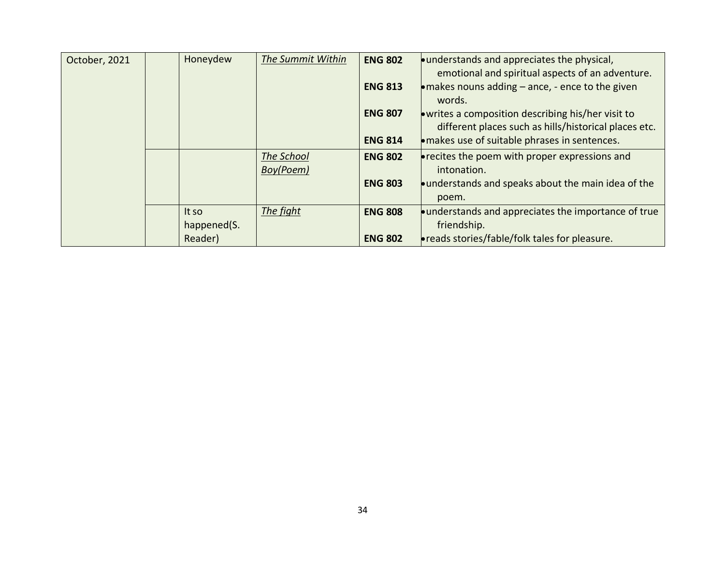| October, 2021 | Honeydew    | The Summit Within       | <b>ENG 802</b> | understands and appreciates the physical,<br>emotional and spiritual aspects of an adventure.               |
|---------------|-------------|-------------------------|----------------|-------------------------------------------------------------------------------------------------------------|
|               |             |                         | <b>ENG 813</b> | $\bullet$ makes nouns adding – ance, - ence to the given<br>words.                                          |
|               |             |                         | <b>ENG 807</b> | • writes a composition describing his/her visit to<br>different places such as hills/historical places etc. |
|               |             |                         | <b>ENG 814</b> | · makes use of suitable phrases in sentences.                                                               |
|               |             | The School<br>Boy(Poem) | <b>ENG 802</b> | $\bullet$ recites the poem with proper expressions and<br>intonation.                                       |
|               |             |                         | <b>ENG 803</b> | understands and speaks about the main idea of the                                                           |
|               |             |                         |                | poem.                                                                                                       |
|               | It so       | The fight               | <b>ENG 808</b> | understands and appreciates the importance of true                                                          |
|               | happened(S. |                         |                | friendship.                                                                                                 |
|               | Reader)     |                         | <b>ENG 802</b> | <b>• reads stories/fable/folk tales for pleasure.</b>                                                       |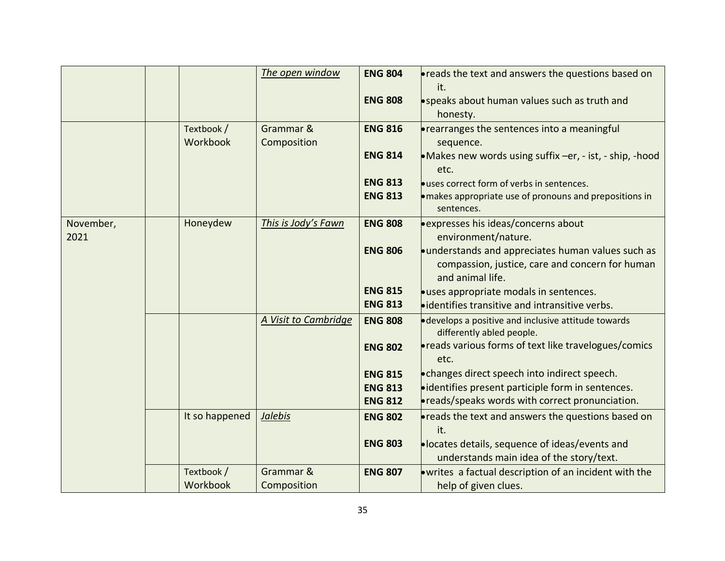|                   |                        | The open window          | <b>ENG 804</b>                   | <b>•</b> reads the text and answers the questions based on<br>it.                                                          |
|-------------------|------------------------|--------------------------|----------------------------------|----------------------------------------------------------------------------------------------------------------------------|
|                   |                        |                          | <b>ENG 808</b>                   | speaks about human values such as truth and<br>honesty.                                                                    |
|                   | Textbook /<br>Workbook | Grammar &<br>Composition | <b>ENG 816</b>                   | • rearranges the sentences into a meaningful<br>sequence.                                                                  |
|                   |                        |                          | <b>ENG 814</b>                   | • Makes new words using suffix $-er$ , $-$ ist, $-$ ship, $-$ hood<br>etc.                                                 |
|                   |                        |                          | <b>ENG 813</b><br><b>ENG 813</b> | <b>.</b> uses correct form of verbs in sentences.<br>• makes appropriate use of pronouns and prepositions in<br>sentences. |
| November,<br>2021 | Honeydew               | This is Jody's Fawn      | <b>ENG 808</b>                   | expresses his ideas/concerns about<br>environment/nature.                                                                  |
|                   |                        |                          | <b>ENG 806</b>                   | understands and appreciates human values such as<br>compassion, justice, care and concern for human<br>and animal life.    |
|                   |                        |                          | <b>ENG 815</b><br><b>ENG 813</b> | ·uses appropriate modals in sentences.<br><b>•</b> identifies transitive and intransitive verbs.                           |
|                   |                        | A Visit to Cambridge     | <b>ENG 808</b>                   | • develops a positive and inclusive attitude towards<br>differently abled people.                                          |
|                   |                        |                          | <b>ENG 802</b>                   | • reads various forms of text like travelogues/comics<br>etc.                                                              |
|                   |                        |                          | <b>ENG 815</b><br><b>ENG 813</b> | . changes direct speech into indirect speech.<br>·identifies present participle form in sentences.                         |
|                   |                        |                          | <b>ENG 812</b>                   | • reads/speaks words with correct pronunciation.                                                                           |
|                   | It so happened         | <b>Jalebis</b>           | <b>ENG 802</b>                   | <b>•</b> reads the text and answers the questions based on<br>it.                                                          |
|                   |                        |                          | <b>ENG 803</b>                   | ·locates details, sequence of ideas/events and<br>understands main idea of the story/text.                                 |
|                   | Textbook /<br>Workbook | Grammar &<br>Composition | <b>ENG 807</b>                   | . writes a factual description of an incident with the<br>help of given clues.                                             |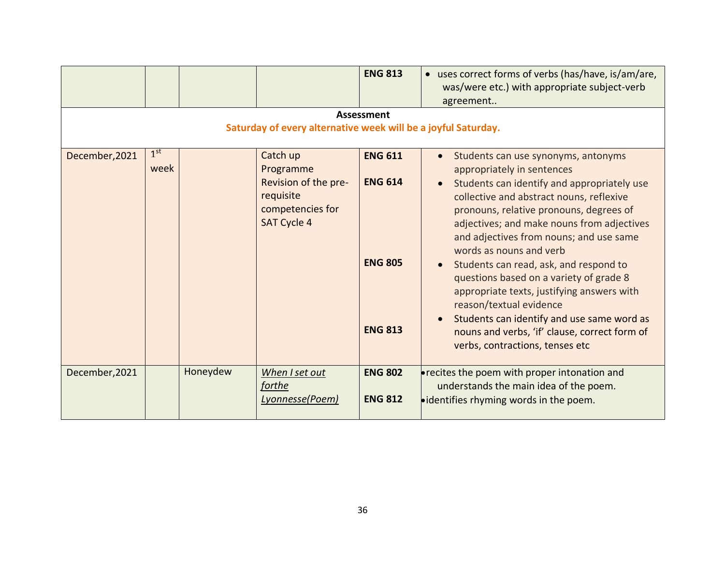|                                                                                    |                         |          |                                                                                                      | <b>ENG 813</b>                                                       | • uses correct forms of verbs (has/have, is/am/are,<br>was/were etc.) with appropriate subject-verb<br>agreement                                                                                                                                                                                                                                                                                                                                                                                                                                                                                                            |  |  |  |
|------------------------------------------------------------------------------------|-------------------------|----------|------------------------------------------------------------------------------------------------------|----------------------------------------------------------------------|-----------------------------------------------------------------------------------------------------------------------------------------------------------------------------------------------------------------------------------------------------------------------------------------------------------------------------------------------------------------------------------------------------------------------------------------------------------------------------------------------------------------------------------------------------------------------------------------------------------------------------|--|--|--|
| <b>Assessment</b><br>Saturday of every alternative week will be a joyful Saturday. |                         |          |                                                                                                      |                                                                      |                                                                                                                                                                                                                                                                                                                                                                                                                                                                                                                                                                                                                             |  |  |  |
| December, 2021                                                                     | 1 <sup>st</sup><br>week |          | Catch up<br>Programme<br>Revision of the pre-<br>requisite<br>competencies for<br><b>SAT Cycle 4</b> | <b>ENG 611</b><br><b>ENG 614</b><br><b>ENG 805</b><br><b>ENG 813</b> | Students can use synonyms, antonyms<br>appropriately in sentences<br>Students can identify and appropriately use<br>collective and abstract nouns, reflexive<br>pronouns, relative pronouns, degrees of<br>adjectives; and make nouns from adjectives<br>and adjectives from nouns; and use same<br>words as nouns and verb<br>Students can read, ask, and respond to<br>questions based on a variety of grade 8<br>appropriate texts, justifying answers with<br>reason/textual evidence<br>Students can identify and use same word as<br>nouns and verbs, 'if' clause, correct form of<br>verbs, contractions, tenses etc |  |  |  |
| December, 2021                                                                     |                         | Honeydew | When I set out<br>forthe<br>Lyonnesse(Poem)                                                          | <b>ENG 802</b><br><b>ENG 812</b>                                     | <b>•</b> recites the poem with proper intonation and<br>understands the main idea of the poem.<br><b>•</b> identifies rhyming words in the poem.                                                                                                                                                                                                                                                                                                                                                                                                                                                                            |  |  |  |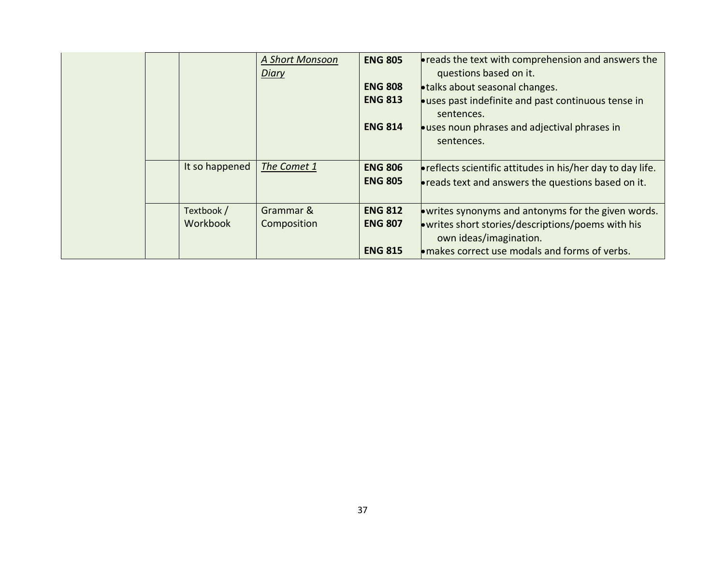|  |                        | A Short Monsoon<br><b>Diary</b> | <b>ENG 805</b><br><b>ENG 808</b><br><b>ENG 813</b><br><b>ENG 814</b> | <b>• reads the text with comprehension and answers the</b><br>questions based on it.<br><b>• talks about seasonal changes.</b><br><b>.</b> uses past indefinite and past continuous tense in<br>sentences.<br><b>Let uses noun phrases and adjectival phrases in</b><br>sentences. |
|--|------------------------|---------------------------------|----------------------------------------------------------------------|------------------------------------------------------------------------------------------------------------------------------------------------------------------------------------------------------------------------------------------------------------------------------------|
|  | It so happened         | The Comet 1                     | <b>ENG 806</b><br><b>ENG 805</b>                                     | <b>•</b> reflects scientific attitudes in his/her day to day life.<br><b>• reads text and answers the questions based on it.</b>                                                                                                                                                   |
|  | Textbook /<br>Workbook | Grammar &<br>Composition        | <b>ENG 812</b><br><b>ENG 807</b><br><b>ENG 815</b>                   | . writes synonyms and antonyms for the given words.<br>. writes short stories/descriptions/poems with his<br>own ideas/imagination.<br>• makes correct use modals and forms of verbs.                                                                                              |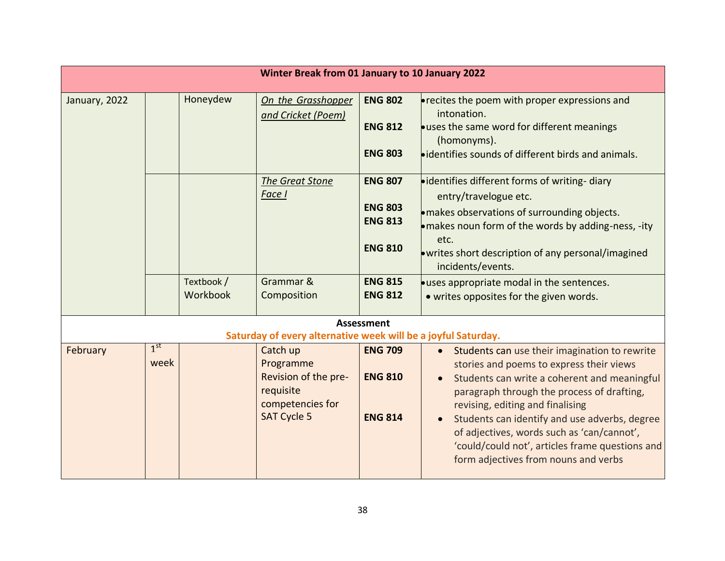| Winter Break from 01 January to 10 January 2022                                    |                         |                        |                                                                                                      |                                                                                                          |                                                                                                                                                                                                                                                                                                                                                                                                                                    |  |
|------------------------------------------------------------------------------------|-------------------------|------------------------|------------------------------------------------------------------------------------------------------|----------------------------------------------------------------------------------------------------------|------------------------------------------------------------------------------------------------------------------------------------------------------------------------------------------------------------------------------------------------------------------------------------------------------------------------------------------------------------------------------------------------------------------------------------|--|
| January, 2022                                                                      |                         | Honeydew               | On the Grasshopper<br>and Cricket (Poem)                                                             | <b>ENG 802</b><br><b>ENG 812</b><br><b>ENG 803</b>                                                       | <b>•</b> recites the poem with proper expressions and<br>intonation.<br><b>.</b> uses the same word for different meanings<br>(homonyms).<br>• identifies sounds of different birds and animals.                                                                                                                                                                                                                                   |  |
|                                                                                    |                         | Textbook /<br>Workbook | The Great Stone<br>Face I<br>Grammar &<br>Composition                                                | <b>ENG 807</b><br><b>ENG 803</b><br><b>ENG 813</b><br><b>ENG 810</b><br><b>ENG 815</b><br><b>ENG 812</b> | • identifies different forms of writing-diary<br>entry/travelogue etc.<br>· makes observations of surrounding objects.<br>• makes noun form of the words by adding-ness, -ity<br>etc.<br>• writes short description of any personal/imagined<br>incidents/events.<br><b>.</b> uses appropriate modal in the sentences.<br>• writes opposites for the given words.                                                                  |  |
| <b>Assessment</b><br>Saturday of every alternative week will be a joyful Saturday. |                         |                        |                                                                                                      |                                                                                                          |                                                                                                                                                                                                                                                                                                                                                                                                                                    |  |
| February                                                                           | 1 <sup>st</sup><br>week |                        | Catch up<br>Programme<br>Revision of the pre-<br>requisite<br>competencies for<br><b>SAT Cycle 5</b> | <b>ENG 709</b><br><b>ENG 810</b><br><b>ENG 814</b>                                                       | Students can use their imagination to rewrite<br>$\bullet$<br>stories and poems to express their views<br>Students can write a coherent and meaningful<br>paragraph through the process of drafting,<br>revising, editing and finalising<br>Students can identify and use adverbs, degree<br>of adjectives, words such as 'can/cannot',<br>'could/could not', articles frame questions and<br>form adjectives from nouns and verbs |  |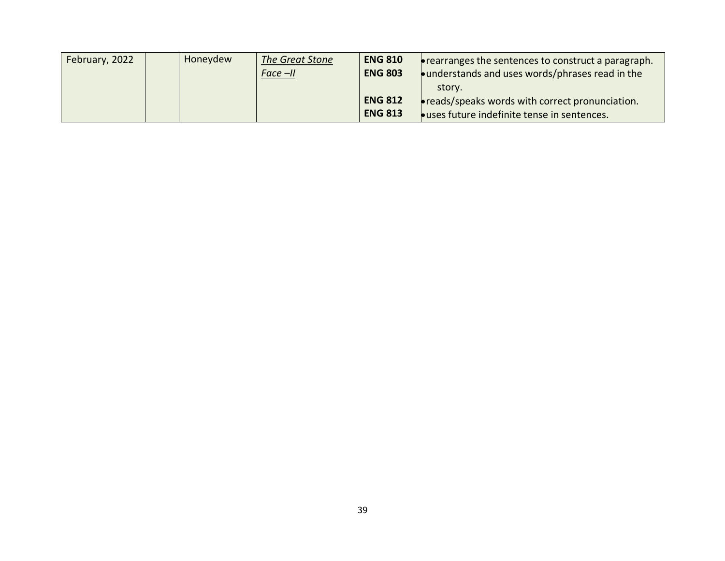| February, 2022 | Honeydew | The Great Stone | <b>ENG 810</b> | $\bullet$ rearranges the sentences to construct a paragraph. |
|----------------|----------|-----------------|----------------|--------------------------------------------------------------|
|                |          | $Face -ll$      | <b>ENG 803</b> | $\bullet$ understands and uses words/phrases read in the     |
|                |          |                 |                | story.                                                       |
|                |          |                 | <b>ENG 812</b> | $\bullet$ reads/speaks words with correct pronunciation.     |
|                |          |                 | <b>ENG 813</b> | <b>Louses future indefinite tense in sentences.</b>          |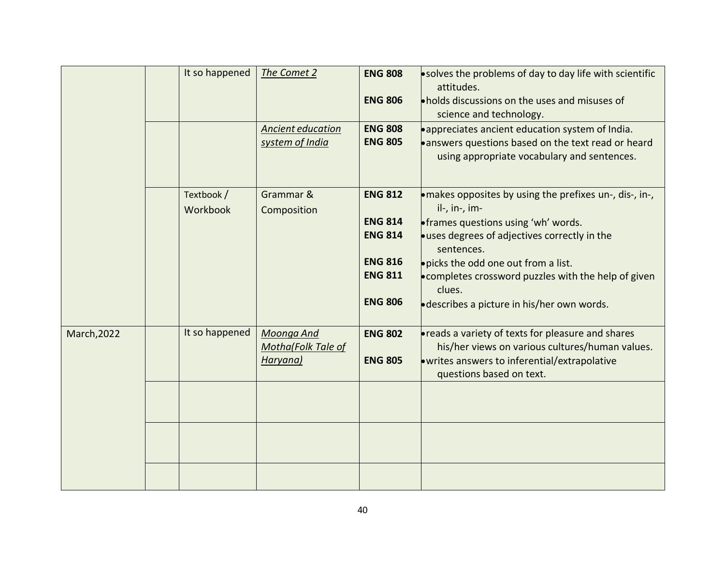|                    | It so happened         | The Comet 2                                  | <b>ENG 808</b><br><b>ENG 806</b> | .solves the problems of day to day life with scientific<br>attitudes.<br>. holds discussions on the uses and misuses of<br>science and technology.                                       |
|--------------------|------------------------|----------------------------------------------|----------------------------------|------------------------------------------------------------------------------------------------------------------------------------------------------------------------------------------|
|                    |                        | Ancient education<br>system of India         | <b>ENG 808</b><br><b>ENG 805</b> | • appreciates ancient education system of India.<br>answers questions based on the text read or heard<br>using appropriate vocabulary and sentences.                                     |
|                    | Textbook /<br>Workbook | Grammar &<br>Composition                     | <b>ENG 812</b>                   | $\bullet$ makes opposites by using the prefixes un-, dis-, in-,<br>il-, in-, im-                                                                                                         |
|                    |                        |                                              | <b>ENG 814</b><br><b>ENG 814</b> | <b>•</b> frames questions using 'wh' words.<br>ouses degrees of adjectives correctly in the<br>sentences.                                                                                |
|                    |                        |                                              | <b>ENG 816</b><br><b>ENG 811</b> | . picks the odd one out from a list.<br>. completes crossword puzzles with the help of given<br>clues.                                                                                   |
|                    |                        |                                              | <b>ENG 806</b>                   | <b>describes a picture in his/her own words.</b>                                                                                                                                         |
| <b>March, 2022</b> | It so happened         | Moonga And<br>Motha(Folk Tale of<br>Haryana) | <b>ENG 802</b><br><b>ENG 805</b> | <b>• reads a variety of texts for pleasure and shares</b><br>his/her views on various cultures/human values.<br>.writes answers to inferential/extrapolative<br>questions based on text. |
|                    |                        |                                              |                                  |                                                                                                                                                                                          |
|                    |                        |                                              |                                  |                                                                                                                                                                                          |
|                    |                        |                                              |                                  |                                                                                                                                                                                          |